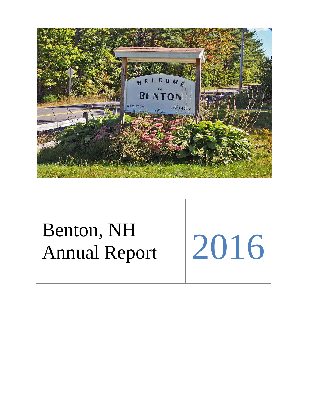

# Benton, NH Annual Report 2016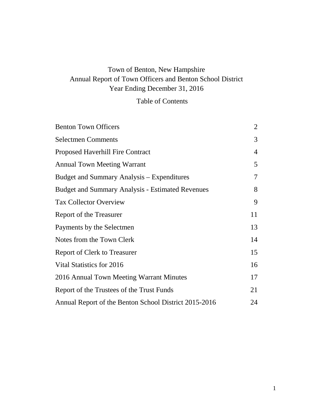# Town of Benton, New Hampshire Annual Report of Town Officers and Benton School District Year Ending December 31, 2016

# Table of Contents

| <b>Benton Town Officers</b>                             | $\overline{2}$ |
|---------------------------------------------------------|----------------|
| <b>Selectmen Comments</b>                               | 3              |
| <b>Proposed Haverhill Fire Contract</b>                 | $\overline{4}$ |
| <b>Annual Town Meeting Warrant</b>                      | 5              |
| Budget and Summary Analysis – Expenditures              | 7              |
| <b>Budget and Summary Analysis - Estimated Revenues</b> | 8              |
| <b>Tax Collector Overview</b>                           | 9              |
| Report of the Treasurer                                 | 11             |
| Payments by the Selectmen                               | 13             |
| Notes from the Town Clerk                               | 14             |
| <b>Report of Clerk to Treasurer</b>                     | 15             |
| Vital Statistics for 2016                               | 16             |
| 2016 Annual Town Meeting Warrant Minutes                | 17             |
| Report of the Trustees of the Trust Funds               | 21             |
| Annual Report of the Benton School District 2015-2016   | 24             |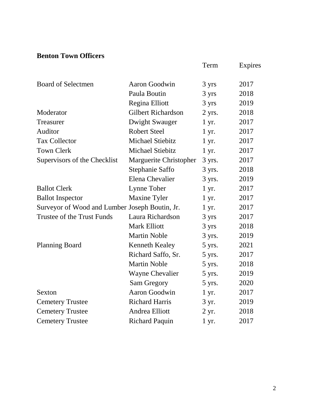# **Benton Town Officers**

|                                                |                           | Term       | Expires |
|------------------------------------------------|---------------------------|------------|---------|
| <b>Board of Selectmen</b>                      | Aaron Goodwin             | 3 yrs      | 2017    |
|                                                | Paula Boutin              | 3 yrs      | 2018    |
|                                                | Regina Elliott            | 3 yrs      | 2019    |
| Moderator                                      | <b>Gilbert Richardson</b> | $2$ yrs.   | 2018    |
| Treasurer                                      | Dwight Swauger            | $1 \, yr.$ | 2017    |
| Auditor                                        | <b>Robert Steel</b>       | $1 \, yr.$ | 2017    |
| <b>Tax Collector</b>                           | <b>Michael Stiebitz</b>   | $1 \, yr.$ | 2017    |
| <b>Town Clerk</b>                              | <b>Michael Stiebitz</b>   | $1 \, yr.$ | 2017    |
| Supervisors of the Checklist                   | Marguerite Christopher    | 3 yrs.     | 2017    |
|                                                | Stephanie Saffo           | 3 yrs.     | 2018    |
|                                                | Elena Chevalier           | 3 yrs.     | 2019    |
| <b>Ballot Clerk</b>                            | Lynne Toher               | $1 \, yr.$ | 2017    |
| <b>Ballot Inspector</b>                        | <b>Maxine Tyler</b>       | $1 \, yr.$ | 2017    |
| Surveyor of Wood and Lumber Joseph Boutin, Jr. |                           | $1 \, yr.$ | 2017    |
| Trustee of the Trust Funds                     | Laura Richardson          | 3 yrs      | 2017    |
|                                                | <b>Mark Elliott</b>       | 3 yrs      | 2018    |
|                                                | <b>Martin Noble</b>       | 3 yrs.     | 2019    |
| <b>Planning Board</b>                          | <b>Kenneth Kealey</b>     | 5 yrs.     | 2021    |
|                                                | Richard Saffo, Sr.        | 5 yrs.     | 2017    |
|                                                | <b>Martin Noble</b>       | 5 yrs.     | 2018    |
|                                                | <b>Wayne Chevalier</b>    | 5 yrs.     | 2019    |
|                                                | Sam Gregory               | 5 yrs.     | 2020    |
| Sexton                                         | Aaron Goodwin             | $1 \, yr.$ | 2017    |
| <b>Cemetery Trustee</b>                        | <b>Richard Harris</b>     | 3 yr.      | 2019    |
| <b>Cemetery Trustee</b>                        | Andrea Elliott            | 2 yr.      | 2018    |
| <b>Cemetery Trustee</b>                        | <b>Richard Paquin</b>     | 1 yr.      | 2017    |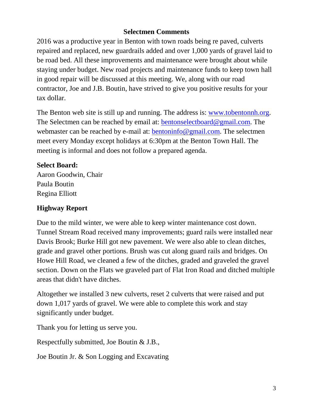# **Selectmen Comments**

2016 was a productive year in Benton with town roads being re paved, culverts repaired and replaced, new guardrails added and over 1,000 yards of gravel laid to be road bed. All these improvements and maintenance were brought about while staying under budget. New road projects and maintenance funds to keep town hall in good repair will be discussed at this meeting. We, along with our road contractor, Joe and J.B. Boutin, have strived to give you positive results for your tax dollar.

The Benton web site is still up and running. The address is: [www.tobentonnh.org.](http://www.tobentonnh.org/) The Selectmen can be reached by email at: [bentonselectboard@gmail.com.](mailto:bentonselectboard@gmail.com) The webmaster can be reached by e-mail at: [bentoninfo@gmail.com.](mailto:bentoninfo@gmail.com) The selectmen meet every Monday except holidays at 6:30pm at the Benton Town Hall. The meeting is informal and does not follow a prepared agenda.

# **Select Board:**

Aaron Goodwin, Chair Paula Boutin Regina Elliott

# **Highway Report**

Due to the mild winter, we were able to keep winter maintenance cost down. Tunnel Stream Road received many improvements; guard rails were installed near Davis Brook; Burke Hill got new pavement. We were also able to clean ditches, grade and gravel other portions. Brush was cut along guard rails and bridges. On Howe Hill Road, we cleaned a few of the ditches, graded and graveled the gravel section. Down on the Flats we graveled part of Flat Iron Road and ditched multiple areas that didn't have ditches.

Altogether we installed 3 new culverts, reset 2 culverts that were raised and put down 1,017 yards of gravel. We were able to complete this work and stay significantly under budget.

Thank you for letting us serve you.

Respectfully submitted, Joe Boutin & J.B.,

Joe Boutin Jr. & Son Logging and Excavating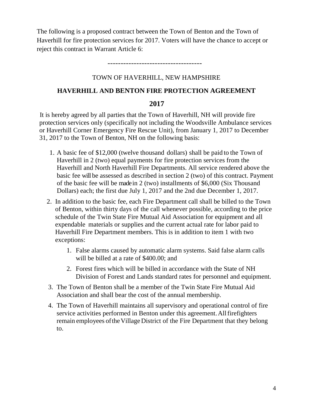The following is a proposed contract between the Town of Benton and the Town of Haverhill for fire protection services for 2017. Voters will have the chance to accept or reject this contract in Warrant Article 6:

------------------------------------

### TOWN OF HAVERHILL, NEW HAMPSHIRE

### **HAVERHILL AND BENTON FIRE PROTECTION AGREEMENT**

### **2017**

It is hereby agreed by all parties that the Town of Haverhill, NH will provide fire protection services only (specifically not including the Woodsville Ambulance services or Haverhill Corner Emergency Fire Rescue Unit), from January 1, 2017 to December 31, 2017 to the Town of Benton, NH on the following basis:

- 1. A basic fee of \$12,000 (twelve thousand dollars) shall be paid to the Town of Haverhill in 2 (two) equal payments for fire protection services from the Haverhill and North Haverhill Fire Departments. All service rendered above the basic fee will be assessed as described in section 2 (two) of this contract. Payment of the basic fee will be made in 2 (two) installments of \$6,000 (Six Thousand Dollars) each; the first due July 1, 2017 and the 2nd due December 1, 2017.
- 2. In addition to the basic fee, each Fire Department call shall be billed to the Town of Benton, within thirty days of the call whenever possible, according to the price schedule of the Twin State Fire Mutual Aid Association for equipment and all expendable materials or supplies and the current actual rate for labor paid to Haverhill Fire Department members. This is in addition to item 1 with two exceptions:
	- 1. False alarms caused by automatic alarm systems. Said false alarm calls will be billed at a rate of \$400.00; and
	- 2. Forest fires which will be billed in accordance with the State of NH Division of Forest and Lands standard rates for personnel and equipment.
- 3. The Town of Benton shall be a member of the Twin State Fire Mutual Aid Association and shall bear the cost of the annual membership.
- 4. The Town of Haverhill maintains all supervisory and operational control of fire service activities performed in Benton under this agreement. All firefighters remain employees oftheVillage District of the Fire Department that they belong to.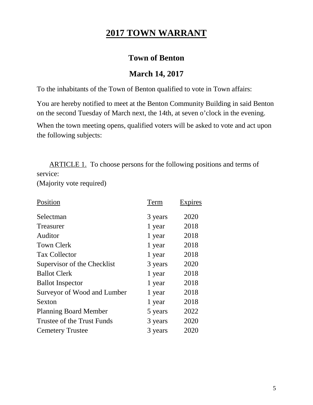# **2017 TOWN WARRANT**

# **Town of Benton**

# **March 14, 2017**

To the inhabitants of the Town of Benton qualified to vote in Town affairs:

You are hereby notified to meet at the Benton Community Building in said Benton on the second Tuesday of March next, the 14th, at seven o'clock in the evening.

When the town meeting opens, qualified voters will be asked to vote and act upon the following subjects:

 ARTICLE 1. To choose persons for the following positions and terms of service:

(Majority vote required)

| Position                     | Term    | Expires |
|------------------------------|---------|---------|
| Selectman                    | 3 years | 2020    |
| Treasurer                    | 1 year  | 2018    |
| Auditor                      | 1 year  | 2018    |
| <b>Town Clerk</b>            | 1 year  | 2018    |
| <b>Tax Collector</b>         | 1 year  | 2018    |
| Supervisor of the Checklist  | 3 years | 2020    |
| <b>Ballot Clerk</b>          | 1 year  | 2018    |
| <b>Ballot Inspector</b>      | 1 year  | 2018    |
| Surveyor of Wood and Lumber  | 1 year  | 2018    |
| Sexton                       | 1 year  | 2018    |
| <b>Planning Board Member</b> | 5 years | 2022    |
| Trustee of the Trust Funds   | 3 years | 2020    |
| <b>Cemetery Trustee</b>      | 3 years | 2020    |
|                              |         |         |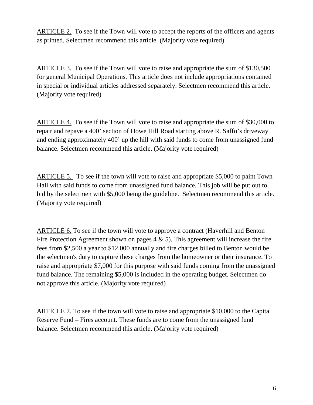ARTICLE 2. To see if the Town will vote to accept the reports of the officers and agents as printed. Selectmen recommend this article. (Majority vote required)

ARTICLE 3. To see if the Town will vote to raise and appropriate the sum of \$130,500 for general Municipal Operations. This article does not include appropriations contained in special or individual articles addressed separately. Selectmen recommend this article. (Majority vote required)

ARTICLE 4. To see if the Town will vote to raise and appropriate the sum of \$30,000 to repair and repave a 400' section of Howe Hill Road starting above R. Saffo's driveway and ending approximately 400' up the hill with said funds to come from unassigned fund balance. Selectmen recommend this article. (Majority vote required)

ARTICLE 5. To see if the town will vote to raise and appropriate \$5,000 to paint Town Hall with said funds to come from unassigned fund balance. This job will be put out to bid by the selectmen with \$5,000 being the guideline. Selectmen recommend this article. (Majority vote required)

ARTICLE 6. To see if the town will vote to approve a contract (Haverhill and Benton Fire Protection Agreement shown on pages  $4 \& 5$ ). This agreement will increase the fire fees from \$2,500 a year to \$12,000 annually and fire charges billed to Benton would be the selectmen's duty to capture these charges from the homeowner or their insurance. To raise and appropriate \$7,000 for this purpose with said funds coming from the unassigned fund balance. The remaining \$5,000 is included in the operating budget. Selectmen do not approve this article. (Majority vote required)

ARTICLE 7. To see if the town will vote to raise and appropriate \$10,000 to the Capital Reserve Fund – Fires account. These funds are to come from the unassigned fund balance. Selectmen recommend this article. (Majority vote required)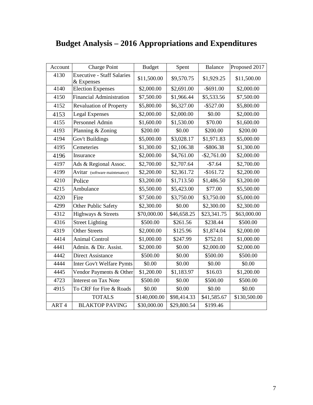| Account | Charge Point                                    | <b>Budget</b> | Spent       | <b>Balance</b> | Proposed 2017 |
|---------|-------------------------------------------------|---------------|-------------|----------------|---------------|
| 4130    | <b>Executive - Staff Salaries</b><br>& Expenses | \$11,500.00   | \$9,570.75  | \$1,929.25     | \$11,500.00   |
| 4140    | <b>Election Expenses</b>                        | \$2,000.00    | \$2,691.00  | $-$ \$691.00   | \$2,000.00    |
| 4150    | <b>Financial Administration</b>                 | \$7,500.00    | \$1,966.44  | \$5,533.56     | \$7,500.00    |
| 4152    | <b>Revaluation of Property</b>                  | \$5,800.00    | \$6,327.00  | $-$ \$527.00   | \$5,800.00    |
| 4153    | <b>Legal Expenses</b>                           | \$2,000.00    | \$2,000.00  | \$0.00         | \$2,000.00    |
| 4155    | Personnel Admin                                 | \$1,600.00    | \$1,530.00  | \$70.00        | \$1,600.00    |
| 4193    | Planning & Zoning                               | \$200.00      | \$0.00      | \$200.00       | \$200.00      |
| 4194    | Gov't Buildings                                 | \$5,000.00    | \$3,028.17  | \$1,971.83     | \$5,000.00    |
| 4195    | Cemeteries                                      | \$1,300.00    | \$2,106.38  | $-$ \$806.38   | \$1,300.00    |
| 4196    | Insurance                                       | \$2,000.00    | \$4,761.00  | $-$ \$2,761.00 | \$2,000.00    |
| 4197    | Ads & Regional Assoc.                           | \$2,700.00    | \$2,707.64  | $-$7.64$       | \$2,700.00    |
| 4199    | Avitar (software maintenance)                   | \$2,200.00    | \$2,361.72  | $-$161.72$     | \$2,200.00    |
| 4210    | Police                                          | \$3,200.00    | \$1,713.50  | \$1,486.50     | \$3,200.00    |
| 4215    | Ambulance                                       | \$5,500.00    | \$5,423.00  | \$77.00        | \$5,500.00    |
| 4220    | Fire                                            | \$7,500.00    | \$3,750.00  | \$3,750.00     | \$5,000.00    |
| 4299    | Other Public Safety                             | \$2,300.00    | \$0.00      | \$2,300.00     | \$2,300.00    |
| 4312    | Highways & Streets                              | \$70,000.00   | \$46,658.25 | \$23,341.75    | \$63,000.00   |
| 4316    | <b>Street Lighting</b>                          | \$500.00      | \$261.56    | \$238.44       | \$500.00      |
| 4319    | <b>Other Streets</b>                            | \$2,000.00    | \$125.96    | \$1,874.04     | \$2,000.00    |
| 4414    | <b>Animal Control</b>                           | \$1,000.00    | \$247.99    | \$752.01       | \$1,000.00    |
| 4441    | Admin. & Dir. Assist.                           | \$2,000.00    | \$0.00      | \$2,000.00     | \$2,000.00    |
| 4442    | <b>Direct Assistance</b>                        | \$500.00      | \$0.00      | \$500.00       | \$500.00      |
| 4444    | Inter Gov't Welfare Pymts                       | \$0.00        | \$0.00      | \$0.00         | \$0.00        |
| 4445    | Vendor Payments & Other                         | \$1,200.00    | \$1,183.97  | \$16.03        | \$1,200.00    |
| 4723    | <b>Interest on Tax Note</b>                     | \$500.00      | \$0.00      | \$500.00       | \$500.00      |
| 4915    | To CRF for Fire & Roads                         | \$0.00        | \$0.00      | \$0.00         | \$0.00        |
|         | <b>TOTALS</b>                                   | \$140,000.00  | \$98,414.33 | \$41,585.67    | \$130,500.00  |
| ART4    | <b>BLAKTOP PAVING</b>                           | \$30,000.00   | \$29,800.54 | \$199.46       |               |

# **Budget Analysis – 2016 Appropriations and Expenditures**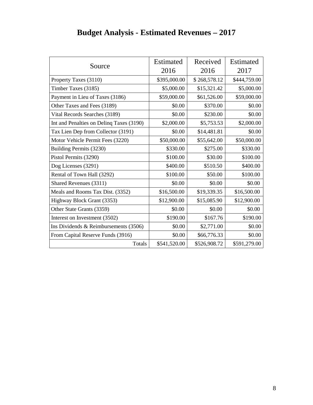|                                          | Estimated    | Received     | Estimated    |
|------------------------------------------|--------------|--------------|--------------|
| Source                                   | 2016         | 2016         | 2017         |
| Property Taxes (3110)                    | \$395,000.00 | \$268,578.12 | \$444,759.00 |
| Timber Taxes (3185)                      | \$5,000.00   | \$15,321.42  | \$5,000.00   |
| Payment in Lieu of Taxes (3186)          | \$59,000.00  | \$61,526.00  | \$59,000.00  |
| Other Taxes and Fees (3189)              | \$0.00       | \$370.00     | \$0.00       |
| Vital Records Searches (3189)            | \$0.00       | \$230.00     | \$0.00       |
| Int and Penalties on Delinq Taxes (3190) | \$2,000.00   | \$5,753.53   | \$2,000.00   |
| Tax Lien Dep from Collector (3191)       | \$0.00       | \$14,481.81  | \$0.00       |
| Motor Vehicle Permit Fees (3220)         | \$50,000.00  | \$55,642.00  | \$50,000.00  |
| Building Permits (3230)                  | \$330.00     | \$275.00     | \$330.00     |
| Pistol Permits (3290)                    | \$100.00     | \$30.00      | \$100.00     |
| Dog Licenses (3291)                      | \$400.00     | \$510.50     | \$400.00     |
| Rental of Town Hall (3292)               | \$100.00     | \$50.00      | \$100.00     |
| Shared Revenues (3311)                   | \$0.00       | \$0.00       | \$0.00       |
| Meals and Rooms Tax Dist. (3352)         | \$16,500.00  | \$19,339.35  | \$16,500.00  |
| Highway Block Grant (3353)               | \$12,900.00  | \$15,085.90  | \$12,900.00  |
| Other State Grants (3359)                | \$0.00       | \$0.00       | \$0.00       |
| Interest on Investment (3502)            | \$190.00     | \$167.76     | \$190.00     |
| Ins Dividends $&$ Reimbursements (3506)  | \$0.00       | \$2,771.00   | \$0.00       |
| From Capital Reserve Funds (3916)        | \$0.00       | \$66,776.33  | \$0.00       |
| Totals                                   | \$541,520.00 | \$526,908.72 | \$591,279.00 |

# **Budget Analysis - Estimated Revenues – 2017**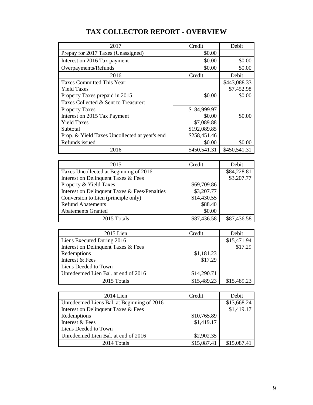| 2017                                          | Credit       | Debit        |
|-----------------------------------------------|--------------|--------------|
| Prepay for 2017 Taxes (Unassigned)            | \$0.00       |              |
| Interest on 2016 Tax payment                  | \$0.00       | \$0.00       |
| Overpayments/Refunds                          | \$0.00       | \$0.00       |
| 2016                                          | Credit       | Debit        |
| Taxes Committed This Year:                    |              | \$443,088.33 |
| <b>Yield Taxes</b>                            |              | \$7,452.98   |
| Property Taxes prepaid in 2015                | \$0.00       | \$0.00       |
| Taxes Collected & Sent to Treasurer:          |              |              |
| <b>Property Taxes</b>                         | \$184,999.97 |              |
| Interest on 2015 Tax Payment                  | \$0.00       | \$0.00       |
| <b>Yield Taxes</b>                            | \$7,089.88   |              |
| Subtotal                                      | \$192,089.85 |              |
| Prop. & Yield Taxes Uncollected at year's end | \$258,451.46 |              |
| Refunds issued                                | \$0.00       | \$0.00       |
| 2016                                          | \$450,541.31 | \$450,541.31 |

# **TAX COLLECTOR REPORT - OVERVIEW**

| 2015                                          | Credit      | Debit       |
|-----------------------------------------------|-------------|-------------|
| Taxes Uncollected at Beginning of 2016        |             | \$84,228.81 |
| Interest on Delinquent Taxes & Fees           |             | \$3,207.77  |
| Property & Yield Taxes                        | \$69,709.86 |             |
| Interest on Delinquent Taxes & Fees/Penalties | \$3,207.77  |             |
| Conversion to Lien (principle only)           | \$14,430.55 |             |
| <b>Refund Abatements</b>                      | \$88.40     |             |
| <b>Abatements Granted</b>                     | \$0.00      |             |
| 2015 Totals                                   | \$87,436.58 | \$87,436.58 |

| $2015$ Lien                         | Credit      | Debit       |
|-------------------------------------|-------------|-------------|
| Liens Executed During 2016          |             | \$15,471.94 |
| Interest on Delinquent Taxes & Fees |             | \$17.29     |
| Redemptions                         | \$1,181.23  |             |
| Interest & Fees                     | \$17.29     |             |
| Liens Deeded to Town                |             |             |
| Unredeemed Lien Bal. at end of 2016 | \$14,290.71 |             |
| 2015 Totals                         | \$15,489.23 | \$15,489.23 |

| $2014$ Lien                                | Credit      | Debit       |
|--------------------------------------------|-------------|-------------|
| Unredeemed Liens Bal. at Beginning of 2016 |             | \$13,668.24 |
| Interest on Delinquent Taxes & Fees        |             | \$1,419.17  |
| Redemptions                                | \$10,765.89 |             |
| Interest & Fees                            | \$1,419.17  |             |
| Liens Deeded to Town                       |             |             |
| Unredeemed Lien Bal. at end of 2016        | \$2,902.35  |             |
| 2014 Totals                                | \$15,087.41 | \$15,087.41 |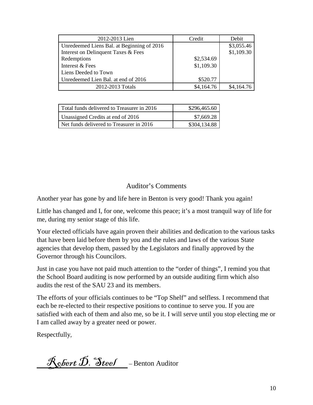| 2012-2013 Lien                             | Credit     | Debit      |
|--------------------------------------------|------------|------------|
| Unredeemed Liens Bal. at Beginning of 2016 |            | \$3,055.46 |
| Interest on Delinquent Taxes & Fees        |            | \$1,109.30 |
| Redemptions                                | \$2,534.69 |            |
| Interest & Fees                            | \$1,109.30 |            |
| Liens Deeded to Town                       |            |            |
| Unredeemed Lien Bal. at end of 2016        | \$520.77   |            |
| 2012-2013 Totals                           | \$4,164.76 | \$4,164.76 |

| Total funds delivered to Treasurer in 2016 | \$296,465.60 |
|--------------------------------------------|--------------|
| Unassigned Credits at end of 2016          | \$7,669.28   |
| Net funds delivered to Treasurer in 2016   | \$304,134.88 |

# Auditor's Comments

Another year has gone by and life here in Benton is very good! Thank you again!

Little has changed and I, for one, welcome this peace; it's a most tranquil way of life for me, during my senior stage of this life.

Your elected officials have again proven their abilities and dedication to the various tasks that have been laid before them by you and the rules and laws of the various State agencies that develop them, passed by the Legislators and finally approved by the Governor through his Councilors.

Just in case you have not paid much attention to the "order of things", I remind you that the School Board auditing is now performed by an outside auditing firm which also audits the rest of the SAU 23 and its members.

The efforts of your officials continues to be "Top Shelf" and selfless. I recommend that each be re-elected to their respective positions to continue to serve you. If you are satisfied with each of them and also me, so be it. I will serve until you stop electing me or I am called away by a greater need or power.

Respectfully,

 $\mathcal{R}_{\text{co}}$  *fort*  $\mathcal{D}$ . Steel \_\_-Benton Auditor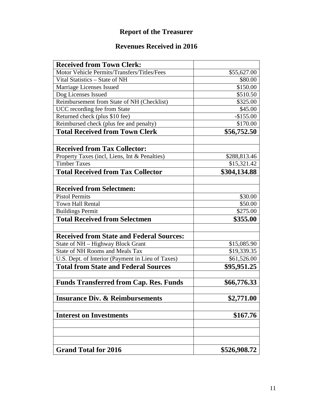# **Report of the Treasurer**

# **Revenues Received in 2016**

| <b>Received from Town Clerk:</b>                                     |              |
|----------------------------------------------------------------------|--------------|
| Motor Vehicle Permits/Transfers/Titles/Fees                          | \$55,627.00  |
| Vital Statistics - State of NH                                       | \$80.00      |
| Marriage Licenses Issued                                             | \$150.00     |
| Dog Licenses Issued                                                  | \$510.50     |
| Reimbursement from State of NH (Checklist)                           | \$325.00     |
| UCC recording fee from State                                         | \$45.00      |
| Returned check (plus \$10 fee)                                       | $-$155.00$   |
| Reimbursed check (plus fee and penalty)                              | \$170.00     |
| <b>Total Received from Town Clerk</b>                                | \$56,752.50  |
|                                                                      |              |
| <b>Received from Tax Collector:</b>                                  |              |
| Property Taxes (incl, Liens, Int & Penalties)<br><b>Timber Taxes</b> | \$288,813.46 |
|                                                                      | \$15,321.42  |
| <b>Total Received from Tax Collector</b>                             | \$304,134.88 |
| <b>Received from Selectmen:</b>                                      |              |
| <b>Pistol Permits</b>                                                | \$30.00      |
| <b>Town Hall Rental</b>                                              | \$50.00      |
| <b>Buildings Permit</b>                                              | \$275.00     |
| <b>Total Received from Selectmen</b>                                 | \$355.00     |
|                                                                      |              |
| <b>Received from State and Federal Sources:</b>                      |              |
| State of NH – Highway Block Grant                                    | \$15,085.90  |
| State of NH Rooms and Meals Tax                                      | \$19,339.35  |
| U.S. Dept. of Interior (Payment in Lieu of Taxes)                    | \$61,526.00  |
| <b>Total from State and Federal Sources</b>                          | \$95,951.25  |
|                                                                      |              |
| <b>Funds Transferred from Cap. Res. Funds</b>                        | \$66,776.33  |
| <b>Insurance Div. &amp; Reimbursements</b>                           | \$2,771.00   |
|                                                                      |              |
| <b>Interest on Investments</b>                                       | \$167.76     |
|                                                                      |              |
|                                                                      |              |
| <b>Grand Total for 2016</b>                                          | \$526,908.72 |
|                                                                      |              |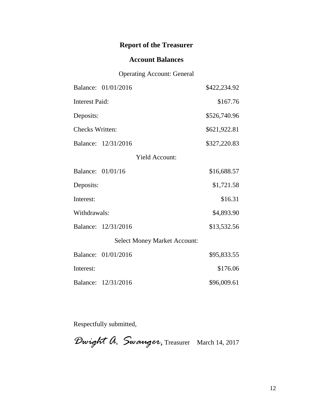# **Report of the Treasurer**

## **Account Balances**

### Operating Account: General

|                        | Balance: 01/01/2016                 | \$422,234.92 |
|------------------------|-------------------------------------|--------------|
| <b>Interest Paid:</b>  |                                     | \$167.76     |
| Deposits:              |                                     | \$526,740.96 |
| <b>Checks Written:</b> |                                     | \$621,922.81 |
|                        | Balance: 12/31/2016                 | \$327,220.83 |
|                        | <b>Yield Account:</b>               |              |
| Balance: 01/01/16      |                                     | \$16,688.57  |
| Deposits:              |                                     | \$1,721.58   |
| Interest:              |                                     | \$16.31      |
| Withdrawals:           |                                     | \$4,893.90   |
|                        | Balance: 12/31/2016                 | \$13,532.56  |
|                        | <b>Select Money Market Account:</b> |              |
|                        | Balance: 01/01/2016                 | \$95,833.55  |
| Interest:              |                                     | \$176.06     |
|                        | Balance: 12/31/2016                 | \$96,009.61  |

Respectfully submitted,

*Dwight A. Swauger*, Treasurer March 14, 2017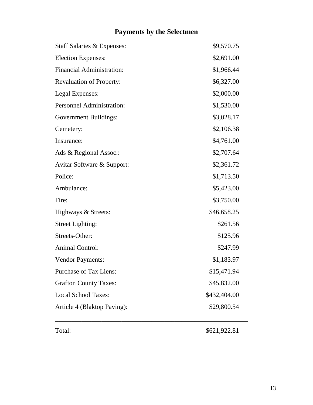# **Payments by the Selectmen**

| Staff Salaries & Expenses:       | \$9,570.75   |
|----------------------------------|--------------|
| <b>Election Expenses:</b>        | \$2,691.00   |
| <b>Financial Administration:</b> | \$1,966.44   |
| <b>Revaluation of Property:</b>  | \$6,327.00   |
| Legal Expenses:                  | \$2,000.00   |
| <b>Personnel Administration:</b> | \$1,530.00   |
| <b>Government Buildings:</b>     | \$3,028.17   |
| Cemetery:                        | \$2,106.38   |
| Insurance:                       | \$4,761.00   |
| Ads & Regional Assoc.:           | \$2,707.64   |
| Avitar Software & Support:       | \$2,361.72   |
| Police:                          | \$1,713.50   |
| Ambulance:                       | \$5,423.00   |
| Fire:                            | \$3,750.00   |
| Highways & Streets:              | \$46,658.25  |
| <b>Street Lighting:</b>          | \$261.56     |
| Streets-Other:                   | \$125.96     |
| <b>Animal Control:</b>           | \$247.99     |
| <b>Vendor Payments:</b>          | \$1,183.97   |
| <b>Purchase of Tax Liens:</b>    | \$15,471.94  |
| <b>Grafton County Taxes:</b>     | \$45,832.00  |
| <b>Local School Taxes:</b>       | \$432,404.00 |
| Article 4 (Blaktop Paving):      | \$29,800.54  |

Total: \$621,922.81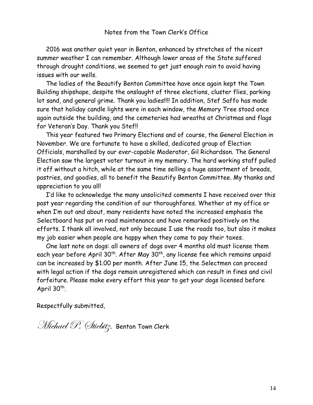2016 was another quiet year in Benton, enhanced by stretches of the nicest summer weather I can remember. Although lower areas of the State suffered through drought conditions, we seemed to get just enough rain to avoid having issues with our wells.

 The ladies of the Beautify Benton Committee have once again kept the Town Building shipshape, despite the onslaught of three elections, cluster flies, parking lot sand, and general grime. Thank you ladies!!!! In addition, Stef Saffo has made sure that holiday candle lights were in each window, the Memory Tree stood once again outside the building, and the cemeteries had wreaths at Christmas and flags for Veteran's Day. Thank you Stef!!

 This year featured two Primary Elections and of course, the General Election in November. We are fortunate to have a skilled, dedicated group of Election Officials, marshalled by our ever-capable Moderator, Gil Richardson. The General Election saw the largest voter turnout in my memory. The hard working staff pulled it off without a hitch, while at the same time selling a huge assortment of breads, pastries, and goodies, all to benefit the Beautify Benton Committee. My thanks and appreciation to you all!

 I'd like to acknowledge the many unsolicited comments I have received over this past year regarding the condition of our thoroughfares. Whether at my office or when I'm out and about, many residents have noted the increased emphasis the Selectboard has put on road maintenance and have remarked positively on the efforts. I thank all involved, not only because I use the roads too, but also it makes my job easier when people are happy when they come to pay their taxes.

 One last note on dogs: all owners of dogs over 4 months old must license them each year before April  $30<sup>th</sup>$ . After May  $30<sup>th</sup>$ , any license fee which remains unpaid can be increased by \$1.00 per month. After June 15, the Selectmen can proceed with legal action if the dogs remain unregistered which can result in fines and civil forfeiture. Please make every effort this year to get your dogs licensed before April 30<sup>th</sup>.

Respectfully submitted,

Michael P. Stiebitz, Benton Town Clerk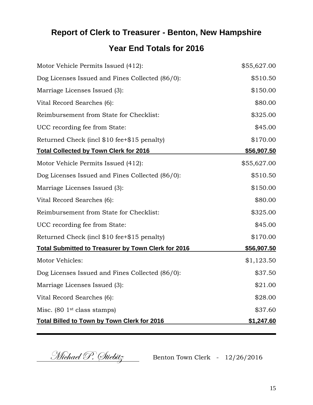# **Report of Clerk to Treasurer - Benton, New Hampshire Year End Totals for 2016**

| Motor Vehicle Permits Issued (412):                        | \$55,627.00        |
|------------------------------------------------------------|--------------------|
| Dog Licenses Issued and Fines Collected (86/0):            | \$510.50           |
| Marriage Licenses Issued (3):                              | \$150.00           |
| Vital Record Searches (6):                                 | \$80.00            |
| Reimbursement from State for Checklist:                    | \$325.00           |
| UCC recording fee from State:                              | \$45.00            |
| Returned Check (incl \$10 fee+\$15 penalty)                | \$170.00           |
| <b>Total Collected by Town Clerk for 2016</b>              | <u>\$56,907.50</u> |
| Motor Vehicle Permits Issued (412):                        | \$55,627.00        |
| Dog Licenses Issued and Fines Collected (86/0):            | \$510.50           |
| Marriage Licenses Issued (3):                              | \$150.00           |
| Vital Record Searches (6):                                 | \$80.00            |
| Reimbursement from State for Checklist:                    | \$325.00           |
| UCC recording fee from State:                              | \$45.00            |
| Returned Check (incl \$10 fee+\$15 penalty)                | \$170.00           |
| <b>Total Submitted to Treasurer by Town Clerk for 2016</b> | <u>\$56,907.50</u> |
| Motor Vehicles:                                            | \$1,123.50         |
| Dog Licenses Issued and Fines Collected (86/0):            | \$37.50            |
| Marriage Licenses Issued (3):                              | \$21.00            |
| Vital Record Searches (6):                                 | \$28.00            |
| Misc. $(80 \text{ 1st class stamps})$                      | \$37.60            |
| <b>Total Billed to Town by Town Clerk for 2016</b>         | \$1,247.60         |

Michael P. Stiebitz Benton Town Clerk - 12/26/2016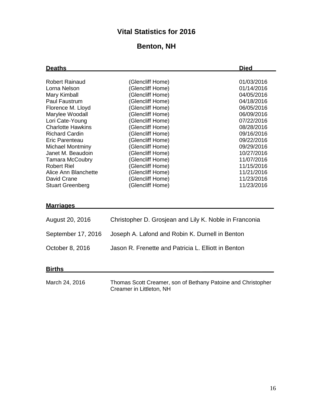# **Vital Statistics for 2016**

# **Benton, NH**

| <b>Deaths</b>                                                                                                                                                   |                                                                                                                                          | <b>Died</b>                                                                                    |  |
|-----------------------------------------------------------------------------------------------------------------------------------------------------------------|------------------------------------------------------------------------------------------------------------------------------------------|------------------------------------------------------------------------------------------------|--|
| <b>Robert Rainaud</b><br>Lorna Nelson<br>Mary Kimball                                                                                                           | (Glencliff Home)<br>(Glencliff Home)<br>(Glencliff Home)                                                                                 | 01/03/2016<br>01/14/2016<br>04/05/2016                                                         |  |
| <b>Paul Faustrum</b><br>Florence M. Lloyd<br>Marylee Woodall<br>Lori Cate-Young<br><b>Charlotte Hawkins</b>                                                     | (Glencliff Home)<br>(Glencliff Home)<br>(Glencliff Home)<br>(Glencliff Home)<br>(Glencliff Home)                                         | 04/18/2016<br>06/05/2016<br>06/09/2016<br>07/22/2016<br>08/28/2016                             |  |
| <b>Richard Cardin</b><br>Eric Parenteau<br><b>Michael Montminy</b><br>Janet M. Beaudoin<br><b>Tamara McCoubry</b><br><b>Robert Riel</b><br>Alice Ann Blanchette | (Glencliff Home)<br>(Glencliff Home)<br>(Glencliff Home)<br>(Glencliff Home)<br>(Glencliff Home)<br>(Glencliff Home)<br>(Glencliff Home) | 09/16/2016<br>09/22/2016<br>09/29/2016<br>10/27/2016<br>11/07/2016<br>11/15/2016<br>11/21/2016 |  |
| David Crane<br><b>Stuart Greenberg</b><br><b>Marriages</b>                                                                                                      | (Glencliff Home)<br>(Glencliff Home)                                                                                                     | 11/23/2016<br>11/23/2016                                                                       |  |
| August 20, 2016                                                                                                                                                 | Christopher D. Grosjean and Lily K. Noble in Franconia                                                                                   |                                                                                                |  |
| September 17, 2016                                                                                                                                              | Joseph A. Lafond and Robin K. Durnell in Benton                                                                                          |                                                                                                |  |

October 8, 2016 Jason R. Frenette and Patricia L. Elliott in Benton

**Births \_\_\_\_\_\_\_\_\_\_\_\_\_\_\_\_\_\_\_\_\_**

March 24, 2016 Thomas Scott Creamer, son of Bethany Patoine and Christopher Creamer in Littleton, NH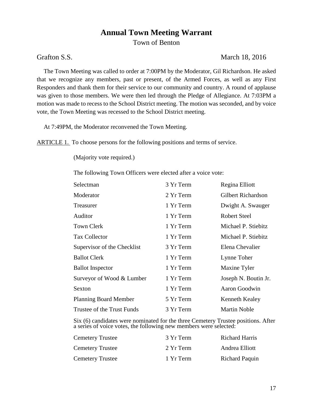# **Annual Town Meeting Warrant**

Town of Benton

# Grafton S.S. March 18, 2016

The Town Meeting was called to order at 7:00PM by the Moderator, Gil Richardson. He asked that we recognize any members, past or present, of the Armed Forces, as well as any First Responders and thank them for their service to our community and country. A round of applause was given to those members. We were then led through the Pledge of Allegiance. At 7:03PM a motion was made to recess to the School District meeting. The motion was seconded, and by voice vote, the Town Meeting was recessed to the School District meeting.

At 7:49PM, the Moderator reconvened the Town Meeting.

ARTICLE 1. To choose persons for the following positions and terms of service.

(Majority vote required.)

The following Town Officers were elected after a voice vote:

| Selectman                    | 3 Yr Term | Regina Elliott            |
|------------------------------|-----------|---------------------------|
| Moderator                    | 2 Yr Term | <b>Gilbert Richardson</b> |
| Treasurer                    | 1 Yr Term | Dwight A. Swauger         |
| Auditor                      | 1 Yr Term | Robert Steel              |
| <b>Town Clerk</b>            | 1 Yr Term | Michael P. Stiebitz       |
| Tax Collector                | 1 Yr Term | Michael P. Stiebitz       |
| Supervisor of the Checklist  | 3 Yr Term | Elena Chevalier           |
| <b>Ballot Clerk</b>          | 1 Yr Term | Lynne Toher               |
| <b>Ballot Inspector</b>      | 1 Yr Term | Maxine Tyler              |
| Surveyor of Wood & Lumber    | 1 Yr Term | Joseph N. Boutin Jr.      |
| <b>Sexton</b>                | 1 Yr Term | Aaron Goodwin             |
| <b>Planning Board Member</b> | 5 Yr Term | Kenneth Kealey            |
| Trustee of the Trust Funds   | 3 Yr Term | <b>Martin Noble</b>       |

Six (6) candidates were nominated for the three Cemetery Trustee positions. After a series of voice votes, the following new members were selected:

| <b>Cemetery Trustee</b> | 3 Yr Term | <b>Richard Harris</b> |
|-------------------------|-----------|-----------------------|
| <b>Cemetery Trustee</b> | 2 Yr Term | Andrea Elliott        |
| <b>Cemetery Trustee</b> | 1 Yr Term | Richard Paquin        |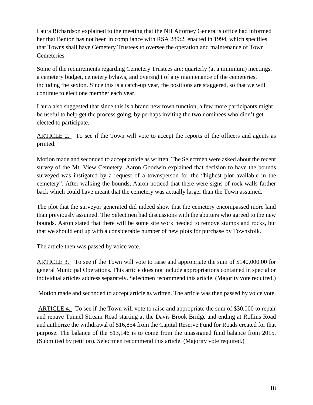Laura Richardson explained to the meeting that the NH Attorney General's office had informed her that Benton has not been in compliance with RSA 289:2, enacted in 1994, which specifies that Towns shall have Cemetery Trustees to oversee the operation and maintenance of Town Cemeteries.

Some of the requirements regarding Cemetery Trustees are: quarterly (at a minimum) meetings, a cemetery budget, cemetery bylaws, and oversight of any maintenance of the cemeteries, including the sexton. Since this is a catch-up year, the positions are staggered, so that we will continue to elect one member each year.

Laura also suggested that since this is a brand new town function, a few more participants might be useful to help get the process going, by perhaps inviting the two nominees who didn't get elected to participate.

ARTICLE 2. To see if the Town will vote to accept the reports of the officers and agents as printed.

Motion made and seconded to accept article as written. The Selectmen were asked about the recent survey of the Mt. View Cemetery. Aaron Goodwin explained that decision to have the bounds surveyed was instigated by a request of a townsperson for the "highest plot available in the cemetery". After walking the bounds, Aaron noticed that there were signs of rock walls farther back which could have meant that the cemetery was actually larger than the Town assumed.

The plot that the surveyor generated did indeed show that the cemetery encompassed more land than previously assumed. The Selectmen had discussions with the abutters who agreed to the new bounds. Aaron stated that there will be some site work needed to remove stumps and rocks, but that we should end up with a considerable number of new plots for purchase by Townsfolk.

The article then was passed by voice vote.

ARTICLE 3. To see if the Town will vote to raise and appropriate the sum of \$140,000.00 for general Municipal Operations. This article does not include appropriations contained in special or individual articles address separately. Selectmen recommend this article. (Majority vote required.)

Motion made and seconded to accept article as written. The article was then passed by voice vote.

ARTICLE 4. To see if the Town will vote to raise and appropriate the sum of \$30,000 to repair and repave Tunnel Stream Road starting at the Davis Brook Bridge and ending at Rollins Road and authorize the withdrawal of \$16,854 from the Capital Reserve Fund for Roads created for that purpose. The balance of the \$13,146 is to come from the unassigned fund balance from 2015. (Submitted by petition). Selectmen recommend this article. (Majority vote required.)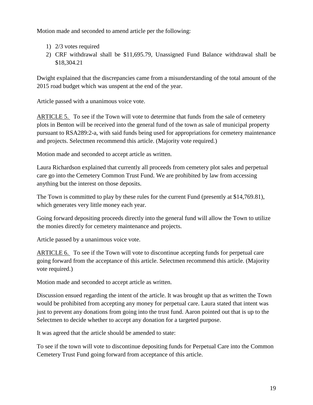Motion made and seconded to amend article per the following:

- 1) 2/3 votes required
- 2) CRF withdrawal shall be \$11,695.79, Unassigned Fund Balance withdrawal shall be \$18,304.21

Dwight explained that the discrepancies came from a misunderstanding of the total amount of the 2015 road budget which was unspent at the end of the year.

Article passed with a unanimous voice vote.

ARTICLE 5. To see if the Town will vote to determine that funds from the sale of cemetery plots in Benton will be received into the general fund of the town as sale of municipal property pursuant to RSA289:2-a, with said funds being used for appropriations for cemetery maintenance and projects. Selectmen recommend this article. (Majority vote required.)

Motion made and seconded to accept article as written.

Laura Richardson explained that currently all proceeds from cemetery plot sales and perpetual care go into the Cemetery Common Trust Fund. We are prohibited by law from accessing anything but the interest on those deposits.

The Town is committed to play by these rules for the current Fund (presently at \$14,769.81), which generates very little money each year.

Going forward depositing proceeds directly into the general fund will allow the Town to utilize the monies directly for cemetery maintenance and projects.

Article passed by a unanimous voice vote.

ARTICLE 6. To see if the Town will vote to discontinue accepting funds for perpetual care going forward from the acceptance of this article. Selectmen recommend this article. (Majority vote required.)

Motion made and seconded to accept article as written.

Discussion ensued regarding the intent of the article. It was brought up that as written the Town would be prohibited from accepting any money for perpetual care. Laura stated that intent was just to prevent any donations from going into the trust fund. Aaron pointed out that is up to the Selectmen to decide whether to accept any donation for a targeted purpose.

It was agreed that the article should be amended to state:

To see if the town will vote to discontinue depositing funds for Perpetual Care into the Common Cemetery Trust Fund going forward from acceptance of this article.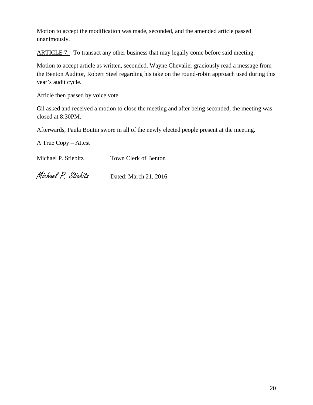Motion to accept the modification was made, seconded, and the amended article passed unanimously.

ARTICLE 7. To transact any other business that may legally come before said meeting.

Motion to accept article as written, seconded. Wayne Chevalier graciously read a message from the Benton Auditor, Robert Steel regarding his take on the round-robin approach used during this year's audit cycle.

Article then passed by voice vote.

Gil asked and received a motion to close the meeting and after being seconded, the meeting was closed at 8:30PM.

Afterwards, Paula Boutin swore in all of the newly elected people present at the meeting.

A True Copy – Attest

Michael P. Stiebitz Town Clerk of Benton

Michael P. Stiebitz Dated: March 21, 2016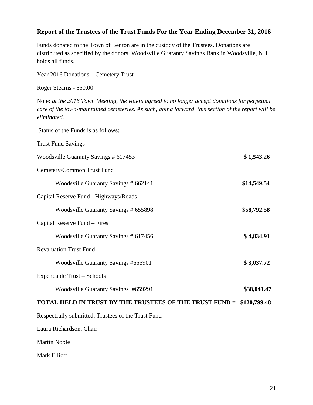### **Report of the Trustees of the Trust Funds For the Year Ending December 31, 2016**

Funds donated to the Town of Benton are in the custody of the Trustees. Donations are distributed as specified by the donors. Woodsville Guaranty Savings Bank in Woodsville, NH holds all funds.

Year 2016 Donations – Cemetery Trust

Roger Stearns - \$50.00

Note: *at the 2016 Town Meeting, the voters agreed to no longer accept donations for perpetual care of the town-maintained cemeteries. As such, going forward, this section of the report will be eliminated.*

| Status of the Funds is as follows:                                   |             |
|----------------------------------------------------------------------|-------------|
| <b>Trust Fund Savings</b>                                            |             |
| Woodsville Guaranty Savings # 617453                                 | \$1,543.26  |
| Cemetery/Common Trust Fund                                           |             |
| Woodsville Guaranty Savings # 662141                                 | \$14,549.54 |
| Capital Reserve Fund - Highways/Roads                                |             |
| Woodsville Guaranty Savings # 655898                                 | \$58,792.58 |
| Capital Reserve Fund - Fires                                         |             |
| Woodsville Guaranty Savings # 617456                                 | \$4,834.91  |
| <b>Revaluation Trust Fund</b>                                        |             |
| Woodsville Guaranty Savings #655901                                  | \$3,037.72  |
| Expendable Trust - Schools                                           |             |
| Woodsville Guaranty Savings #659291                                  | \$38,041.47 |
| TOTAL HELD IN TRUST BY THE TRUSTEES OF THE TRUST FUND = \$120,799.48 |             |
| Respectfully submitted, Trustees of the Trust Fund                   |             |
| Laura Richardson, Chair                                              |             |
| <b>Martin Noble</b>                                                  |             |
| Mark Elliott                                                         |             |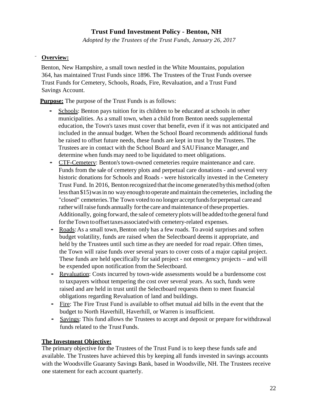# **Trust Fund Investment Policy - Benton, NH**

*Adopted by the Trustees of the Trust Funds, January 26, 2017*

#### **Overview:**

Benton, New Hampshire, a small town nestled in the White Mountains, population 364, has maintained Trust Funds since 1896. The Trustees of the Trust Funds oversee Trust Funds for Cemetery, Schools, Roads, Fire, Revaluation, and a Trust Fund Savings Account.

**Purpose:** The purpose of the Trust Funds is as follows:

- Schools: Benton pays tuition for its children to be educated at schools in other municipalities. As a small town, when a child from Benton needs supplemental education, the Town's taxes must cover that benefit, even if it was not anticipated and included in the annual budget. When the School Board recommends additional funds be raised to offset future needs, these funds are kept in trust by the Trustees. The Trustees are in contact with the School Board and SAU Finance Manager, and determine when funds may need to be liquidated to meet obligations.
- CTF-Cemetery: Benton's town-owned cemeteries require maintenance and care. Funds from the sale of cemetery plots and perpetual care donations - and several very historic donations for Schools and Roads - were historically invested in the Cemetery Trust Fund. In 2016, Benton recognized that the income generated by this method (often lessthan \$15)wasin no way enough to operate andmaintain the cemeteries, including the "closed" cemeteries. The Town voted to no longer accept funds for perpetual care and rather will raise funds annually for the care and maintenance of these properties. Additionally, going forward, the saleof cemeteryplotswill beadded tothe general fund for the Town to offset taxes associated with cemetery-related expenses.
- Roads: As a small town, Benton only has a few roads. To avoid surprises and soften budget volatility, funds are raised when the Selectboard deems it appropriate, and held by the Trustees until such time asthey are needed for road repair. Often times, the Town will raise funds over several years to cover costs of a major capital project. These funds are held specifically for said project - not emergency projects – and will be expended upon notification from the Selectboard.
- Revaluation: Costs incurred by town-wide assessments would be a burdensome cost to taxpayers without tempering the cost over several years. As such, funds were raised and are held in trust until the Selectboard requests them to meet financial obligations regarding Revaluation of land and buildings.
- Fire: The Fire Trust Fund is available to offset mutual aid bills in the event that the budget to North Haverhill, Haverhill, or Warren is insufficient.
- Savings: This fund allows the Trustees to accept and deposit or prepare for withdrawal funds related to the Trust Funds.

#### **The Investment Objective:**

The primary objective for the Trustees of the Trust Fund is to keep these funds safe and available. The Trustees have achieved this by keeping all funds invested in savings accounts with the Woodsville Guaranty Savings Bank, based in Woodsville, NH. The Trustees receive one statement for each account quarterly.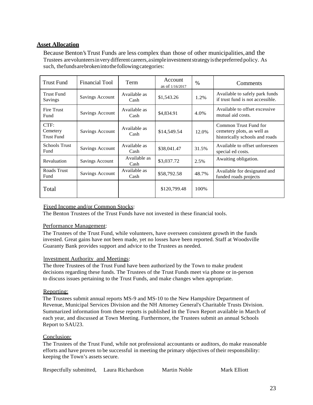#### **Asset Allocation**

Because Benton's Trust Funds are less complex than those of other municipalities, and the Trustees arevolunteersinverydifferent careers,asimpleinvestmentstrategyisthepreferred policy. As such, thefundsarebrokenintothefollowingcategories:

| Trust Fund                            | Financial Tool         | Term                 | Account<br>as of 1/16/2017 | $\%$  | Comments                                                                              |
|---------------------------------------|------------------------|----------------------|----------------------------|-------|---------------------------------------------------------------------------------------|
| <b>Trust Fund</b><br>Savings          | <b>Savings Account</b> | Available as<br>Cash | \$1,543.26                 | 1.2%  | Available to safely park funds<br>if trust fund is not accessible.                    |
| Fire Trust<br>Fund                    | Savings Account        | Available as<br>Cash | \$4,834.91                 | 4.0%  | Available to offset excessive<br>mutual aid costs.                                    |
| CTF:<br>Cemetery<br><b>Trust Fund</b> | Savings Account        | Available as<br>Cash | \$14,549.54                | 12.0% | Common Trust Fund for<br>cemetery plots, as well as<br>historically schools and roads |
| <b>Schools Trust</b><br>Fund          | Savings Account        | Available as<br>Cash | \$38,041.47                | 31.5% | Available to offset unforeseen<br>special ed costs.                                   |
| Revaluation                           | Savings Account        | Available as<br>Cash | \$3,037.72                 | 2.5%  | Awaiting obligation.                                                                  |
| Roads Trust<br>Fund                   | Savings Account        | Available as<br>Cash | \$58,792.58                | 48.7% | Available for designated and<br>funded roads projects                                 |
| Total                                 |                        |                      | \$120,799.48               | 100\% |                                                                                       |

#### Fixed Income and/or Common Stocks:

The Benton Trustees of the Trust Funds have not invested in these financial tools.

#### Performance Management:

The Trustees of the Trust Fund, while volunteers, have overseen consistent growth in the funds invested. Great gains have not been made, yet no losses have been reported. Staff at Woodsville Guaranty Bank provides support and advice to the Trustees as needed.

#### lnvestment Authority and Meetings:

The three Trustees of the Trust Fund have been authorized by the Town to make prudent decisions regarding these funds. The Trustees of the Trust Funds meet via phone or in-person to discuss issues pertaining to the Trust Funds, and make changes when appropriate.

#### Reporting:

The Trustees submit annual reports MS-9 and MS-10 to the New Hampshire Department of Revenue, Municipal Services Division and the NH Attorney General's Charitable Trusts Division. Summarized information from these reports is published in the Town Report available in March of each year, and discussed at Town Meeting. Furthermore, the Trustees submit an annual Schools Report to SAU23.

#### Conclusion:

The Trustees of the Trust Fund, while not professional accountants or auditors, do make reasonable efforts and have proven to be successful in meeting the primary objectives oftheir responsibility: keeping the Town's assets secure.

| Respectfully submitted, | Laura Richardson | Martin Noble | Mark Elliott |
|-------------------------|------------------|--------------|--------------|
|-------------------------|------------------|--------------|--------------|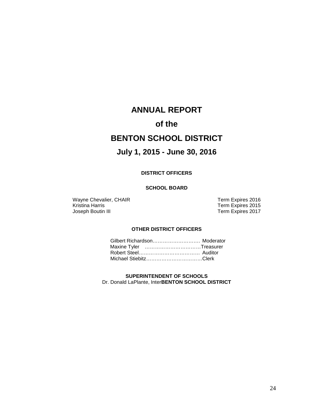# **ANNUAL REPORT**

# **of the**

# **BENTON SCHOOL DISTRICT**

# **July 1, 2015 - June 30, 2016**

#### **DISTRICT OFFICERS**

#### **SCHOOL BOARD**

Wayne Chevalier, CHAIR<br>
Kristina Harris<br>
Term Expires 2015 Kristina Harris **Term Expires 2015**<br>
Joseph Boutin III **Term Expires 2017** 

Term Expires 2017

#### **OTHER DISTRICT OFFICERS**

| Maxine Tyler Treasurer |  |
|------------------------|--|
|                        |  |
| Michael StiebitzClerk  |  |

**SUPERINTENDENT OF SCHOOLS** Dr. Donald LaPlante, Inter**BENTON SCHOOL DISTRICT**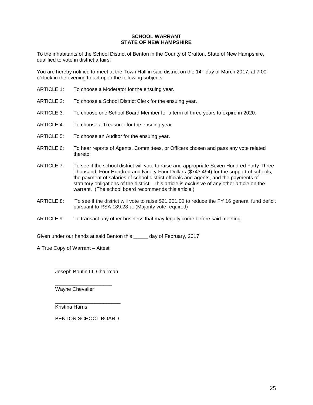#### **SCHOOL WARRANT STATE OF NEW HAMPSHIRE**

To the inhabitants of the School District of Benton in the County of Grafton, State of New Hampshire, qualified to vote in district affairs:

You are hereby notified to meet at the Town Hall in said district on the 14<sup>th</sup> day of March 2017, at 7:00 o'clock in the evening to act upon the following subjects:

- ARTICLE 1: To choose a Moderator for the ensuing year.
- ARTICLE 2: To choose a School District Clerk for the ensuing year.
- ARTICLE 3: To choose one School Board Member for a term of three years to expire in 2020.
- ARTICLE 4: To choose a Treasurer for the ensuing year.
- ARTICLE 5: To choose an Auditor for the ensuing year.
- ARTICLE 6: To hear reports of Agents, Committees, or Officers chosen and pass any vote related thereto.
- ARTICLE 7: To see if the school district will vote to raise and appropriate Seven Hundred Forty-Three Thousand, Four Hundred and Ninety-Four Dollars (\$743,494) for the support of schools, the payment of salaries of school district officials and agents, and the payments of statutory obligations of the district. This article is exclusive of any other article on the warrant. (The school board recommends this article.)
- ARTICLE 8: To see if the district will vote to raise \$21,201.00 to reduce the FY 16 general fund deficit pursuant to RSA 189:28-a. (Majority vote required)
- ARTICLE 9: To transact any other business that may legally come before said meeting.

Given under our hands at said Benton this \_\_\_\_\_ day of February, 2017

A True Copy of Warrant – Attest:

\_\_\_\_\_\_\_\_\_\_\_\_\_\_\_\_\_\_\_\_\_ Joseph Boutin III, Chairman

\_\_\_\_\_\_\_\_\_\_\_\_\_\_\_\_\_\_\_\_

Wayne Chevalier

\_\_\_\_\_\_\_\_\_\_\_\_\_\_\_\_\_\_\_\_\_\_\_ Kristina Harris

BENTON SCHOOL BOARD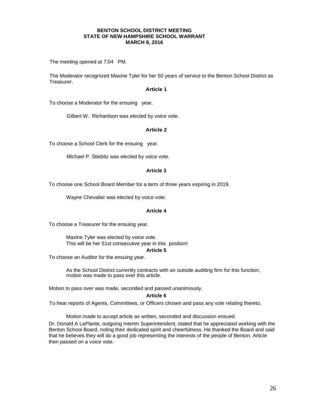#### **BENTON SCHOOL DISTRICT MEETING STATE OF NEW HAMPSHIRE SCHOOL WARRANT MARCH 8, 2016**

The meeting opened at 7:04 PM.

The Moderator recognized Maxine Tyler for her 50 years of service to the Benton School District as Treasurer.

#### **Article 1**

To choose a Moderator for the ensuing year.

Gilbert W. Richardson was elected by voice vote.

#### **Article 2**

To choose a School Clerk for the ensuing year.

Michael P. Stiebitz was elected by voice vote.

#### **Article 3**

To choose one School Board Member for a term of three years expiring in 2019.

Wayne Chevalier was elected by voice vote.

#### **Article 4**

To choose a Treasurer for the ensuing year.

Maxine Tyler was elected by voice vote. This will be her 51st consecutive year in this position!

#### **Article 5**

To choose an Auditor for the ensuing year.

As the School District currently contracts with an outside auditing firm for this function, motion was made to pass over this article.

Motion to pass over was made, seconded and passed unanimously.

#### **Article 6**

To hear reports of Agents, Committees, or Officers chosen and pass any vote relating thereto.

Motion made to accept article as written, seconded and discussion ensued.

Dr. Donald A LaPlante, outgoing Interim Superintendent, stated that he appreciated working with the Benton School Board, noting their dedicated spirit and cheerfulness. He thanked the Board and said that he believes they will do a good job representing the interests of the people of Benton. Article then passed on a voice vote.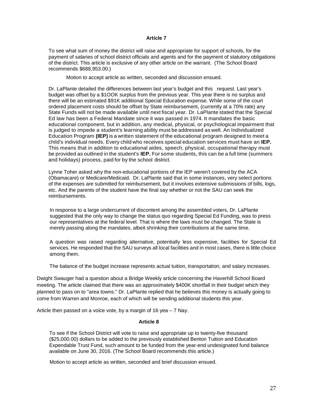#### **Article 7**

To see what sum of money the district will raise and appropriate for support of schools, for the payment of salaries of school district officials and agents and for the payment of statutory obligations of the district. This article is exclusive of any other article on the warrant. (The School Board recommends \$688,953.00.)

Motion to accept article as written, seconded and discussion ensued.

Dr. LaPlante detailed the differences between last year's budget and this request. Last year's budget was offset by a \$1OOK surplus from the previous year. This year there is no surplus and there will be an estimated \$91K additional Special Education expense. While some of the court ordered placement costs should be offset by State reimbursement, (currently at a 70% rate) any State Funds will not be made available until next fiscal year. Dr. LaPlante stated that the Special Ed law has been a Federal Mandate since it was passed in 1974. It mandates the basic educational component, but in addition, any medical, physical, or psychological impairment that is judged to impede a student's learning ability must be addressed as well. An Individualized Education Program **(IEP)** is a written statement of the educational program designed to meet a child's individual needs. Every child who receives special education services must have an **IEP.**  This means that in addition to educational aides, speech, physical, occupational therapy must be provided as outlined in the student's **IEP.** For some students, this can be a full time (summers and holidays) process, paid for by the school district.

Lynne Toher asked why the non-educational portions of the IEP weren't covered by the ACA (Obamacare) or Medicare/Medicaid. Dr. LaPlante said that in some instances, very select portions of the expenses are submitted for reimbursement, but it involves extensive submissions of bills, logs, etc. And the parents of the student have the final say whether or not the SAU can seek the reimbursements.

In response to a large undercurrent of discontent among the assembled voters, Dr. LaPlante suggested that the only way to change the status quo regarding Special Ed Funding, was to press our representatives at the federal level. That is where the laws must be changed. The State is merely passing along the mandates, albeit shrinking their contributions at the same time.

A question was raised regarding alternative, potentially less expensive, facilities for Special Ed services. He responded that the SAU surveys all local facilities and in most cases, there is little choice among them.

The balance of the budget increase represents actual tuition, transportation, and salary increases.

Dwight Swauger had a question about a Bridge Weekly article concerning the Haverhill School Board meeting. The article claimed that there was an approximately \$400K shortfall in their budget which they planned to pass on to "area towns." Dr. LaPlante replied that he believes this money is actually going to come from Warren and Monroe, each of which will be sending additional students this year.

Article then passed on a voice vote, by a margin of 16 yea – 7 Nay.

#### **Article 8**

To see if the School District will vote to raise and appropriate up to twenty-five thousand (\$25,000.00) dollars to be added to the previously established Benton Tuition and Education Expendable Trust Fund, such amount to be funded from the year-end undesignated fund balance available on June 30, 2016. (The School Board recommends this article.)

Motion to accept article as written, seconded and brief discussion ensued.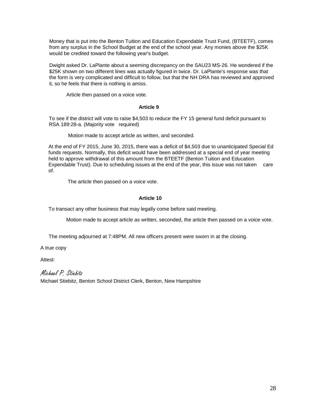Money that is put into the Benton Tuition and Education Expendable Trust Fund, (BTEETF), comes from any surplus in the School Budget at the end of the school year. Any monies above the \$25K would be credited toward the following year's budget.

Dwight asked Dr. LaPlante about a seeming discrepancy on the SAU23 MS-26. He wondered if the \$25K shown on two different lines was actually figured in twice. Dr. LaPlante's response was that the form is very complicated and difficult to follow, but that the NH DRA has reviewed and approved it, so he feels that there is nothing is amiss.

Article then passed on a voice vote.

#### **Article 9**

To see if the district will vote to raise \$4,503 to reduce the FY 15 general fund deficit pursuant to RSA 189:28-a. (Majority vote required)

Motion made to accept article as written, and seconded.

At the end of FY 2015, June 30, 2015, there was a deficit of \$4,503 due to unanticipated Special Ed funds requests. Normally, this deficit would have been addressed at a special end of year meeting held to approve withdrawal of this amount from the BTEETF (Benton Tuition and Education Expendable Trust). Due to scheduling issues at the end of the year, this issue was not taken care of.

The article then passed on a voice vote.

#### **Article 10**

To transact any other business that may legally come before said meeting.

Motion made to accept article as written, seconded, the article then passed on a voice vote.

The meeting adjourned at 7:48PM. All new officers present were sworn in at the closing.

A true copy

Attest:

Michael P. Stiebitz

Michael Stiebitz, Benton School District Clerk, Benton, New Hampshire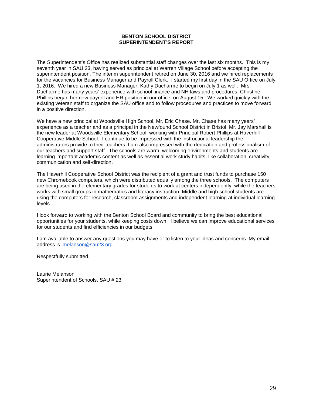#### **BENTON SCHOOL DISTRICT SUPERINTENDENT'S REPORT**

The Superintendent's Office has realized substantial staff changes over the last six months. This is my seventh year in SAU 23, having served as principal at Warren Village School before accepting the superintendent position. The interim superintendent retired on June 30, 2016 and we hired replacements for the vacancies for Business Manager and Payroll Clerk. I started my first day in the SAU Office on July 1, 2016. We hired a new Business Manager, Kathy Ducharme to begin on July 1 as well. Mrs. Ducharme has many years' experience with school finance and NH laws and procedures. Christine Phillips began her new payroll and HR position in our office, on August 15. We worked quickly with the existing veteran staff to organize the SAU office and to follow procedures and practices to move forward in a positive direction.

We have a new principal at Woodsville High School, Mr. Eric Chase. Mr. Chase has many years' experience as a teacher and as a principal in the Newfound School District in Bristol. Mr. Jay Marshall is the new leader at Woodsville Elementary School, working with Principal Robert Phillips at Haverhill Cooperative Middle School. I continue to be impressed with the instructional leadership the administrators provide to their teachers. I am also impressed with the dedication and professionalism of our teachers and support staff. The schools are warm, welcoming environments and students are learning important academic content as well as essential work study habits, like collaboration, creativity, communication and self-direction.

The Haverhill Cooperative School District was the recipient of a grant and trust funds to purchase 150 new Chromebook computers, which were distributed equally among the three schools. The computers are being used in the elementary grades for students to work at centers independently, while the teachers works with small groups in mathematics and literacy instruction. Middle and high school students are using the computers for research, classroom assignments and independent learning at individual learning levels.

I look forward to working with the Benton School Board and community to bring the best educational opportunities for your students, while keeping costs down. I believe we can improve educational services for our students and find efficiencies in our budgets.

I am available to answer any questions you may have or to listen to your ideas and concerns. My email address is [lmelanson@sau23.org.](mailto:lmelanson@sau23.org)

Respectfully submitted,

Laurie Melanson Superintendent of Schools, SAU # 23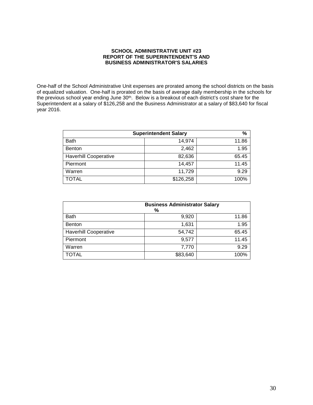#### **SCHOOL ADMINISTRATIVE UNIT #23 REPORT OF THE SUPERINTENDENT'S AND BUSINESS ADMINISTRATOR'S SALARIES**

One-half of the School Administrative Unit expenses are prorated among the school districts on the basis of equalized valuation. One-half is prorated on the basis of average daily membership in the schools for the previous school year ending June 30<sup>th</sup>. Below is a breakout of each district's cost share for the Superintendent at a salary of \$126,258 and the Business Administrator at a salary of \$83,640 for fiscal year 2016.

| %<br><b>Superintendent Salary</b> |           |       |
|-----------------------------------|-----------|-------|
| <b>Bath</b>                       | 14,974    | 11.86 |
| <b>Benton</b>                     | 2,462     | 1.95  |
| <b>Haverhill Cooperative</b>      | 82,636    | 65.45 |
| Piermont                          | 14,457    | 11.45 |
| Warren                            | 11,729    | 9.29  |
| <b>TOTAL</b>                      | \$126,258 | 100%  |

|                              | <b>Business Administrator Salary</b><br>% |       |
|------------------------------|-------------------------------------------|-------|
| <b>Bath</b>                  | 9,920                                     | 11.86 |
| Benton                       | 1,631                                     | 1.95  |
| <b>Haverhill Cooperative</b> | 54,742                                    | 65.45 |
| Piermont                     | 9,577                                     | 11.45 |
| Warren                       | 7,770                                     | 9.29  |
| <b>TOTAL</b>                 | \$83,640                                  | 100%  |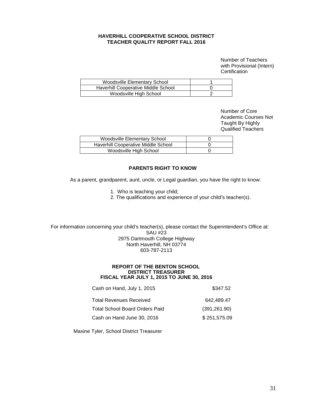#### **HAVERHILL COOPERATIVE SCHOOL DISTRICT TEACHER QUALITY REPORT FALL 2016**

Number of Teachers with Provisional (Intern) **Certification** 

| Woodsville Elementary School        |  |
|-------------------------------------|--|
| Haverhill Cooperative Middle School |  |
| Woodsville High School              |  |

Number of Core Academic Courses Not Taught By Highly Qualified Teachers

| Woodsville Elementary School        |  |
|-------------------------------------|--|
| Haverhill Cooperative Middle School |  |
| Woodsville High School              |  |

#### **PARENTS RIGHT TO KNOW**

As a parent, grandparent, aunt, uncle, or Legal guardian, you have the right to know:

- 1. Who is teaching your child;
- 2. The qualifications and experience of your child's teacher(s).

 For information concerning your child's teacher(s), please contact the Superintendent's Office at: SAU #23 2975 Dartmouth College Highway North Haverhill, NH 03774 603-787-2113

#### **REPORT OF THE BENTON SCHOOL DISTRICT TREASURER FISCAL YEAR JULY 1, 2015 TO JUNE 30, 2016**

| Cash on Hand, July 1, 2015            | \$347.52      |
|---------------------------------------|---------------|
| <b>Total Revenues Received</b>        | 642.489.47    |
| <b>Total School Board Orders Paid</b> | (391, 261.90) |
| Cash on Hand June 30, 2016            | \$251,575.09  |

Maxine Tyler, School District Treasurer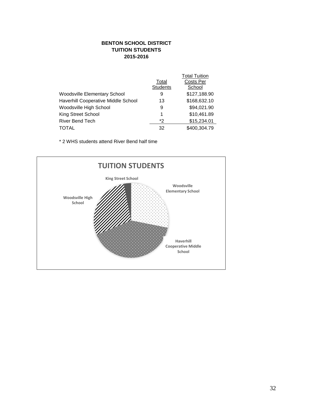#### **BENTON SCHOOL DISTRICT TUITION STUDENTS 2015-2016**

|                                     |                 | <b>Total Tuition</b> |
|-------------------------------------|-----------------|----------------------|
|                                     | Total           | Costs Per            |
|                                     | <b>Students</b> | School               |
| Woodsville Elementary School        | 9               | \$127,188.90         |
| Haverhill Cooperative Middle School | 13              | \$168,632.10         |
| Woodsville High School              | 9               | \$94,021.90          |
| King Street School                  | 1               | \$10,461.89          |
| <b>River Bend Tech</b>              | *2              | \$15,234.01          |
| <b>TOTAL</b>                        | 32              | \$400,304.79         |

\* 2 WHS students attend River Bend half time

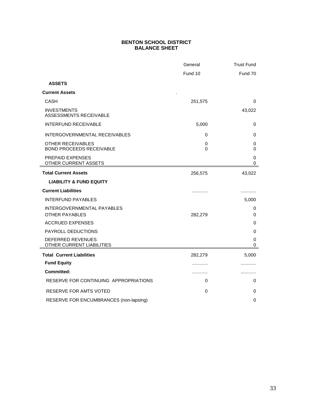#### **BENTON SCHOOL DISTRICT BALANCE SHEET**

|                                                      | General | <b>Trust Fund</b> |
|------------------------------------------------------|---------|-------------------|
|                                                      | Fund 10 | Fund 70           |
| <b>ASSETS</b>                                        |         |                   |
| <b>Current Assets</b>                                |         |                   |
| <b>CASH</b>                                          | 251,575 | 0                 |
| <b>INVESTMENTS</b><br>ASSESSMENTS RECEIVABLE         |         | 43,022            |
| <b>INTERFUND RECEIVABLE</b>                          | 5,000   | 0                 |
| INTERGOVERNMENTAL RECEIVABLES                        | 0       | 0                 |
| OTHER RECEIVABLES<br><b>BOND PROCEEDS RECEIVABLE</b> | 0<br>0  | 0<br>0            |
| <b>PREPAID EXPENSES</b><br>OTHER CURRENT ASSETS      |         | 0<br>0            |
| <b>Total Current Assets</b>                          | 256,575 | 43,022            |
| <b>LIABILITY &amp; FUND EQUITY</b>                   |         |                   |
| <b>Current Liabilities</b>                           | .       |                   |
| <b>INTERFUND PAYABLES</b>                            |         | 5,000             |
| INTERGOVERNMENTAL PAYABLES<br><b>OTHER PAYABLES</b>  | 282,279 | 0<br>0            |
| <b>ACCRUED EXPENSES</b>                              |         | 0                 |
| PAYROLL DEDUCTIONS                                   |         | 0                 |
| DEFERRED REVENUES<br>OTHER CURRENT LIABILITIES       |         | 0<br>0            |
| <b>Total Current Liabilities</b>                     | 282,279 | 5,000             |
| <b>Fund Equity</b>                                   | .       |                   |
| <b>Committed:</b>                                    | .       |                   |
| RESERVE FOR CONTINUING APPROPRIATIONS                | 0       | 0                 |
| RESERVE FOR AMTS VOTED                               | 0       | 0                 |
| RESERVE FOR ENCUMBRANCES (non-lapsing)               |         | $\Omega$          |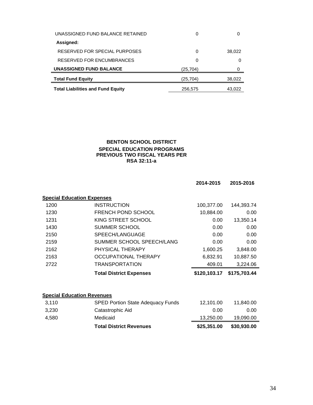| UNASSIGNED FUND BALANCE RETAINED         | 0        | 0      |
|------------------------------------------|----------|--------|
| Assigned:                                |          |        |
| RESERVED FOR SPECIAL PURPOSES            | 0        | 38,022 |
| RESERVED FOR ENCUMBRANCES                | 0        | Ω      |
| <b>UNASSIGNED FUND BALANCE</b>           | (25,704) |        |
| <b>Total Fund Equity</b>                 | (25,704) | 38,022 |
| <b>Total Liabilities and Fund Equity</b> | 256,575  | 43.022 |

#### **BENTON SCHOOL DISTRICT SPECIAL EDUCATION PROGRAMS PREVIOUS TWO FISCAL YEARS PER RSA 32:11-a**

|       |                                          | 2014-2015    | 2015-2016    |
|-------|------------------------------------------|--------------|--------------|
|       | <b>Special Education Expenses</b>        |              |              |
| 1200  | <b>INSTRUCTION</b>                       | 100,377.00   | 144,393.74   |
| 1230  | FRENCH POND SCHOOL                       | 10,884.00    | 0.00         |
| 1231  | KING STREET SCHOOL                       | 0.00         | 13,350.14    |
| 1430  | <b>SUMMER SCHOOL</b>                     | 0.00         | 0.00         |
| 2150  | SPEECH/LANGUAGE                          | 0.00         | 0.00         |
| 2159  | SUMMER SCHOOL SPEECH/LANG                | 0.00         | 0.00         |
| 2162  | PHYSICAL THERAPY                         | 1,600.25     | 3,848.00     |
| 2163  | <b>OCCUPATIONAL THERAPY</b>              | 6,832.91     | 10,887.50    |
| 2722  | <b>TRANSPORTATION</b>                    | 409.01       | 3,224.06     |
|       | <b>Total District Expenses</b>           | \$120,103.17 | \$175,703.44 |
|       |                                          |              |              |
|       | <b>Special Education Revenues</b>        |              |              |
| 3,110 | <b>SPED Portion State Adequacy Funds</b> | 12,101.00    | 11,840.00    |
| 3,230 | Catastrophic Aid                         | 0.00         | 0.00         |
| 4,580 | Medicaid                                 | 13,250.00    | 19,090.00    |
|       | <b>Total District Revenues</b>           | \$25,351.00  | \$30,930.00  |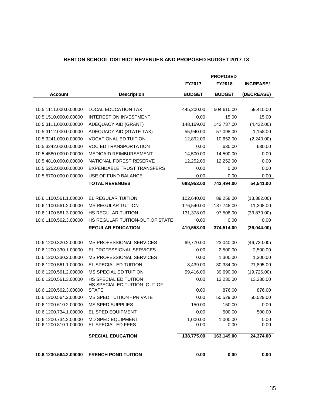### **BENTON SCHOOL DISTRICT REVENUES AND PROPOSED BUDGET 2017-18**

|                       |                                               |               | <b>PROPOSED</b> |                  |
|-----------------------|-----------------------------------------------|---------------|-----------------|------------------|
|                       |                                               | FY2017        | FY2018          | <b>INCREASE/</b> |
| <b>Account</b>        | <b>Description</b>                            | <b>BUDGET</b> | <b>BUDGET</b>   | (DECREASE)       |
|                       |                                               |               |                 |                  |
| 10.5.1111.000.0.00000 | <b>LOCAL EDUCATION TAX</b>                    | 445,200.00    | 504,610.00      | 59,410.00        |
| 10.5.1510.000.0.00000 | <b>INTEREST ON INVESTMENT</b>                 | 0.00          | 15.00           | 15.00            |
| 10.5.3111.000.0.00000 | ADEQUACY AID (GRANT)                          | 148,169.00    | 143,737.00      | (4,432.00)       |
| 10.5.3112.000.0.00000 | ADEQUACY AID (STATE TAX)                      | 55,940.00     | 57,098.00       | 1,158.00         |
| 10.5.3241.000.0.00000 | <b>VOCATIONAL ED TUITION</b>                  | 12,892.00     | 10,652.00       | (2,240.00)       |
| 10.5.3242.000.0.00000 | VOC ED TRANSPORTATION                         | 0.00          | 630.00          | 630.00           |
| 10.5.4580.000.0.00000 | MEDICAID REIMBURSEMENT                        | 14,500.00     | 14,500.00       | 0.00             |
| 10.5.4810.000.0.00000 | NATIONAL FOREST RESERVE                       | 12,252.00     | 12,252.00       | 0.00             |
| 10.5.5252.000.0.00000 | <b>EXPENDABLE TRUST TRANSFERS</b>             | 0.00          | 0.00            | 0.00             |
| 10.5.5700.000.0.00000 | USE OF FUND BALANCE                           | 0.00          | 0.00            | 0.00             |
|                       | <b>TOTAL REVENUES</b>                         | 688,953.00    | 743,494.00      | 54,541.00        |
|                       |                                               |               |                 |                  |
| 10.6.1100.561.1.00000 | EL REGULAR TUITION                            | 102,640.00    | 89,258.00       | (13, 382.00)     |
| 10.6.1100.561.2.00000 | <b>MS REGULAR TUITION</b>                     | 176,540.00    | 187,748.00      | 11,208.00        |
| 10.6.1100.561.3.00000 | HS REGULAR TUITION                            | 131,378.00    | 97,508.00       | (33,870.00)      |
| 10.6.1100.562.3.00000 | HS REGULAR TUITION-OUT OF STATE               | 0.00          | 0.00            | 0.00             |
|                       | <b>REGULAR EDUCATION</b>                      | 410,558.00    | 374,514.00      | (36,044.00)      |
|                       |                                               |               |                 |                  |
| 10.6.1200.320.2.00000 | <b>MS PROFESSIONAL SERVICES</b>               | 69,770.00     | 23,040.00       | (46, 730.00)     |
| 10.6.1200.330.1.00000 | EL PROFESSIONAL SERVICES                      | 0.00          | 2,500.00        | 2,500.00         |
| 10.6.1200.330.2.00000 | <b>MS PROFESSIONAL SERVICES</b>               | 0.00          | 1,300.00        | 1,300.00         |
| 10.6.1200.561.1.00000 | EL SPECIAL ED TUITION                         | 8,439.00      | 30,334.00       | 21,895.00        |
| 10.6.1200.561.2.00000 | MS SPECIAL ED TUITION                         | 59,416.00     | 39,690.00       | (19, 726.00)     |
| 10.6.1200.561.3.00000 | HS SPECIAL ED TUITION                         | 0.00          | 13,230.00       | 13,230.00        |
| 10.6.1200.562.3.00000 | HS SPECIAL ED TUITION- OUT OF<br><b>STATE</b> | 0.00          | 876.00          | 876.00           |
| 10.6.1200.564.2.00000 | MS SPED TUITION - PRIVATE                     | 0.00          | 50,529.00       | 50,529.00        |
| 10.6.1200.610.2.00000 | MS SPED SUPPLIES                              | 150.00        | 150.00          | 0.00             |
| 10.6.1200.734.1.00000 | EL SPED EQUIPMENT                             | 0.00          | 500.00          | 500.00           |
| 10.6.1200.734.2.00000 | <b>MD SPED EQUIPMENT</b>                      | 1,000.00      | 1,000.00        | 0.00             |
| 10.6.1200.810.1.00000 | EL SPECIAL ED FEES                            | 0.00          | 0.00            | 0.00             |
|                       | <b>SPECIAL EDUCATION</b>                      | 138,775.00    | 163,149.00      | 24,374.00        |
|                       |                                               |               |                 |                  |
| 10.6.1230.564.2.00000 | <b>FRENCH POND TUITION</b>                    | 0.00          | 0.00            | 0.00             |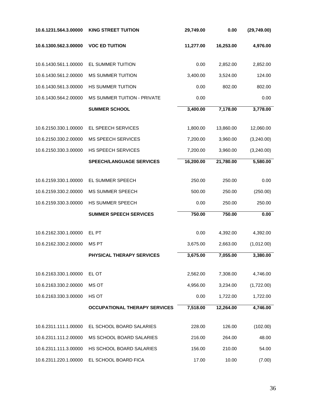| 10.6.1231.564.3.00000 | <b>KING STREET TUITION</b>           | 29,749.00 | 0.00      | (29,749.00) |
|-----------------------|--------------------------------------|-----------|-----------|-------------|
| 10.6.1300.562.3.00000 | <b>VOC ED TUITION</b>                | 11,277.00 | 16,253.00 | 4,976.00    |
| 10.6.1430.561.1.00000 | EL SUMMER TUITION                    | 0.00      | 2,852.00  | 2,852.00    |
| 10.6.1430.561.2.00000 | <b>MS SUMMER TUITION</b>             | 3,400.00  | 3,524.00  | 124.00      |
| 10.6.1430.561.3.00000 | HS SUMMER TUITION                    | 0.00      | 802.00    | 802.00      |
| 10.6.1430.564.2.00000 | <b>MS SUMMER TUITION - PRIVATE</b>   | 0.00      |           | 0.00        |
|                       | <b>SUMMER SCHOOL</b>                 | 3,400.00  | 7,178.00  | 3,778.00    |
| 10.6.2150.330.1.00000 | EL SPEECH SERVICES                   | 1,800.00  | 13,860.00 | 12,060.00   |
| 10.6.2150.330.2.00000 | <b>MS SPEECH SERVICES</b>            | 7,200.00  | 3,960.00  | (3,240.00)  |
| 10.6.2150.330.3.00000 | <b>HS SPEECH SERVICES</b>            | 7,200.00  | 3,960.00  | (3,240.00)  |
|                       | <b>SPEECH/LANGUAGE SERVICES</b>      | 16,200.00 | 21,780.00 | 5,580.00    |
| 10.6.2159.330.1.00000 | EL SUMMER SPEECH                     | 250.00    | 250.00    | 0.00        |
| 10.6.2159.330.2.00000 | <b>MS SUMMER SPEECH</b>              | 500.00    | 250.00    | (250.00)    |
| 10.6.2159.330.3.00000 | HS SUMMER SPEECH                     | 0.00      | 250.00    | 250.00      |
|                       | <b>SUMMER SPEECH SERVICES</b>        | 750.00    | 750.00    | 0.00        |
|                       |                                      |           |           |             |
| 10.6.2162.330.1.00000 | EL PT                                | 0.00      | 4,392.00  | 4,392.00    |
| 10.6.2162.330.2.00000 | <b>MSPT</b>                          | 3,675.00  | 2,663.00  | (1,012.00)  |
|                       | PHYSICAL THERAPY SERVICES            | 3,675.00  | 7,055.00  | 3,380.00    |
| 10.6.2163.330.1.00000 | EL OT                                | 2,562.00  | 7,308.00  | 4,746.00    |
| 10.6.2163.330.2.00000 | MS OT                                | 4,956.00  | 3,234.00  | (1,722.00)  |
| 10.6.2163.330.3.00000 | HS OT                                | 0.00      | 1,722.00  | 1,722.00    |
|                       | <b>OCCUPATIONAL THERAPY SERVICES</b> | 7,518.00  | 12,264.00 | 4,746.00    |
| 10.6.2311.111.1.00000 | EL SCHOOL BOARD SALARIES             | 228.00    | 126.00    | (102.00)    |
| 10.6.2311.111.2.00000 | MS SCHOOL BOARD SALARIES             | 216.00    | 264.00    | 48.00       |
| 10.6.2311.111.3.00000 | HS SCHOOL BOARD SALARIES             | 156.00    | 210.00    | 54.00       |
| 10.6.2311.220.1.00000 | EL SCHOOL BOARD FICA                 | 17.00     | 10.00     | (7.00)      |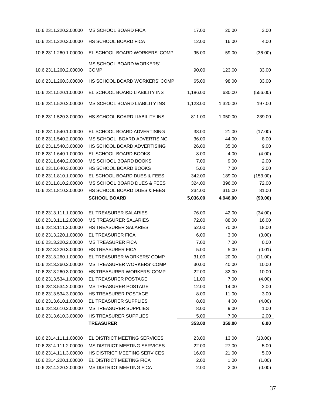| 10.6.2311.220.2.00000 | MS SCHOOL BOARD FICA                           | 17.00    | 20.00    | 3.00     |
|-----------------------|------------------------------------------------|----------|----------|----------|
| 10.6.2311.220.3.00000 | HS SCHOOL BOARD FICA                           | 12.00    | 16.00    | 4.00     |
| 10.6.2311.260.1.00000 | EL SCHOOL BOARD WORKERS' COMP                  | 95.00    | 59.00    | (36.00)  |
| 10.6.2311.260.2.00000 | <b>MS SCHOOL BOARD WORKERS'</b><br><b>COMP</b> | 90.00    | 123.00   | 33.00    |
| 10.6.2311.260.3.00000 | HS SCHOOL BOARD WORKERS' COMP                  | 65.00    | 98.00    | 33.00    |
| 10.6.2311.520.1.00000 | EL SCHOOL BOARD LIABILITY INS                  | 1,186.00 | 630.00   | (556.00) |
| 10.6.2311.520.2.00000 | MS SCHOOL BOARD LIABILITY INS                  | 1,123.00 | 1,320.00 | 197.00   |
| 10.6.2311.520.3.00000 | HS SCHOOL BOARD LIABILITY INS                  | 811.00   | 1,050.00 | 239.00   |
| 10.6.2311.540.1.00000 | EL SCHOOL BOARD ADVERTISING                    | 38.00    | 21.00    | (17.00)  |
| 10.6.2311.540.2.00000 | MS SCHOOL BOARD ADVERTISING                    | 36.00    | 44.00    | 8.00     |
| 10.6.2311.540.3.00000 | HS SCHOOL BOARD ADVERTISING                    | 26.00    | 35.00    | 9.00     |
| 10.6.2311.640.1.00000 | EL SCHOOL BOARD BOOKS                          | 8.00     | 4.00     | (4.00)   |
| 10.6.2311.640.2.00000 | MS SCHOOL BOARD BOOKS                          | 7.00     | 9.00     | 2.00     |
| 10.6.2311.640.3.00000 | HS SCHOOL BOARD BOOKS                          | 5.00     | 7.00     | 2.00     |
| 10.6.2311.810.1.00000 | EL SCHOOL BOARD DUES & FEES                    | 342.00   | 189.00   | (153.00) |
| 10.6.2311.810.2.00000 | MS SCHOOL BOARD DUES & FEES                    | 324.00   | 396.00   | 72.00    |
| 10.6.2311.810.3.00000 | HS SCHOOL BOARD DUES & FEES                    | 234.00   | 315.00   | 81.00    |
|                       | <b>SCHOOL BOARD</b>                            | 5,036.00 | 4,946.00 | (90.00)  |
| 10.6.2313.111.1.00000 | EL TREASURER SALARIES                          | 76.00    | 42.00    | (34.00)  |
| 10.6.2313.111.2.00000 | <b>MS TREASURER SALARIES</b>                   | 72.00    | 88.00    | 16.00    |
| 10.6.2313.111.3.00000 | <b>HS TREASURER SALARIES</b>                   | 52.00    | 70.00    | 18.00    |
| 10.6.2313.220.1.00000 | EL TREASURER FICA                              | 6.00     | 3.00     | (3.00)   |
| 10.6.2313.220.2.00000 | <b>MS TREASURER FICA</b>                       | 7.00     | 7.00     | 0.00     |
| 10.6.2313.220.3.00000 | <b>HS TREASURER FICA</b>                       | 5.00     | 5.00     | (0.01)   |
| 10.6.2313.260.1.00000 | EL TREASURER WORKERS' COMP                     | 31.00    | 20.00    | (11.00)  |
| 10.6.2313.260.2.00000 | <b>MS TREASURER WORKERS' COMP</b>              | 30.00    | 40.00    | 10.00    |
| 10.6.2313.260.3.00000 | HS TREASURER WORKERS' COMP                     | 22.00    | 32.00    | 10.00    |
| 10.6.2313.534.1.00000 | EL TREASURER POSTAGE                           | 11.00    | 7.00     | (4.00)   |
| 10.6.2313.534.2.00000 | <b>MS TREASURER POSTAGE</b>                    | 12.00    | 14.00    | 2.00     |
| 10.6.2313.534.3.00000 | HS TREASURER POSTAGE                           | 8.00     | 11.00    | 3.00     |
| 10.6.2313.610.1.00000 | EL TREASURER SUPPLIES                          | 8.00     | 4.00     | (4.00)   |
| 10.6.2313.610.2.00000 | <b>MS TREASURER SUPPLIES</b>                   | 8.00     | 9.00     | 1.00     |
| 10.6.2313.610.3.00000 | <b>HS TREASURER SUPPLIES</b>                   | 5.00     | 7.00     | 2.00     |
|                       | <b>TREASURER</b>                               | 353.00   | 359.00   | 6.00     |
| 10.6.2314.111.1.00000 | EL DISTRICT MEETING SERVICES                   | 23.00    | 13.00    | (10.00)  |
| 10.6.2314.111.2.00000 | MS DISTRICT MEETING SERVICES                   | 22.00    | 27.00    | 5.00     |
| 10.6.2314.111.3.00000 | HS DISTRICT MEETING SERVICES                   | 16.00    | 21.00    | 5.00     |
| 10.6.2314.220.1.00000 | EL DISTRICT MEETING FICA                       | 2.00     | 1.00     | (1.00)   |
| 10.6.2314.220.2.00000 | MS DISTRICT MEETING FICA                       | 2.00     | 2.00     | (0.00)   |
|                       |                                                |          |          |          |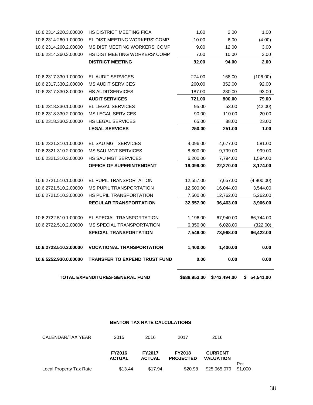|                       | TOTAL EXPENDITURES-GENERAL FUND      | \$688,953.00 | \$743,494.00 | \$ 54,541.00 |
|-----------------------|--------------------------------------|--------------|--------------|--------------|
| 10.6.5252.930.0.00000 | <b>TRANSFER TO EXPEND TRUST FUND</b> | 0.00         | 0.00         | 0.00         |
| 10.6.2723.510.3.00000 | <b>VOCATIONAL TRANSPORTATION</b>     | 1,400.00     | 1,400.00     | 0.00         |
|                       | <b>SPECIAL TRANSPORTATION</b>        | 7,546.00     | 73,968.00    | 66,422.00    |
| 10.6.2722.510.2.00000 | MS SPECIAL TRANSPORTATION            | 6,350.00     | 6,028.00     | (322.00)     |
| 10.6.2722.510.1.00000 | EL SPECIAL TRANSPORTATION            | 1,196.00     | 67,940.00    | 66,744.00    |
|                       | <b>REGULAR TRANSPORTATION</b>        | 32,557.00    | 36,463.00    | 3,906.00     |
| 10.6.2721.510.3.00000 | HS PUPIL TRANSPORTATION              | 7,500.00     | 12,762.00    | 5,262.00     |
| 10.6.2721.510.2.00000 | MS PUPIL TRANSPORTATION              | 12,500.00    | 16,044.00    | 3,544.00     |
| 10.6.2721.510.1.00000 | EL PUPIL TRANSPORTATION              | 12,557.00    | 7,657.00     | (4,900.00)   |
|                       | OFFICE OF SUPERINTENDENT             | 19,096.00    | 22,270.00    | 3,174.00     |
| 10.6.2321.310.3.00000 | HS SAU MGT SERVICES                  | 6,200.00     | 7,794.00     | 1,594.00     |
| 10.6.2321.310.2.00000 | <b>MS SAU MGT SERVICES</b>           | 8,800.00     | 9,799.00     | 999.00       |
| 10.6.2321.310.1.00000 | EL SAU MGT SERVICES                  | 4,096.00     | 4,677.00     | 581.00       |
|                       | <b>LEGAL SERVICES</b>                | 250.00       | 251.00       | 1.00         |
| 10.6.2318.330.3.00000 | <b>HS LEGAL SERVICES</b>             | 65.00        | 88.00        | 23.00        |
| 10.6.2318.330.2.00000 | <b>MS LEGAL SERVICES</b>             | 90.00        | 110.00       | 20.00        |
| 10.6.2318.330.1.00000 | EL LEGAL SERVICES                    | 95.00        | 53.00        | (42.00)      |
|                       | <b>AUDIT SERVICES</b>                | 721.00       | 800.00       | 79.00        |
| 10.6.2317.330.3.00000 | <b>HS AUDITSERVICES</b>              | 187.00       | 280.00       | 93.00        |
| 10.6.2317.330.2.00000 | <b>MS AUDIT SERVICES</b>             | 260.00       | 352.00       | 92.00        |
| 10.6.2317.330.1.00000 | EL AUDIT SERVICES                    | 274.00       | 168.00       | (106.00)     |
|                       | <b>DISTRICT MEETING</b>              | 92.00        | 94.00        | 2.00         |
| 10.6.2314.260.3.00000 | <b>HS DIST MEETING WORKERS' COMP</b> | 7.00         | 10.00        | 3.00         |
| 10.6.2314.260.2.00000 | MS DIST MEETING WORKERS' COMP        | 9.00         | 12.00        | 3.00         |
| 10.6.2314.260.1.00000 | EL DIST MEETING WORKERS' COMP        | 10.00        | 6.00         | (4.00)       |
| 10.6.2314.220.3.00000 | <b>HS DISTRICT MEETING FICA</b>      | 1.00         | 2.00         | 1.00         |

#### **BENTON TAX RATE CALCULATIONS**

| CALENDAR/TAX YEAR       | 2015                           | 2016                           | 2017                              | 2016                               |                |
|-------------------------|--------------------------------|--------------------------------|-----------------------------------|------------------------------------|----------------|
|                         | <b>FY2016</b><br><b>ACTUAL</b> | <b>FY2017</b><br><b>ACTUAL</b> | <b>FY2018</b><br><b>PROJECTED</b> | <b>CURRENT</b><br><b>VALUATION</b> |                |
| Local Property Tax Rate | \$13.44                        | \$17.94                        | \$20.98                           | \$25,065,079                       | Per<br>\$1,000 |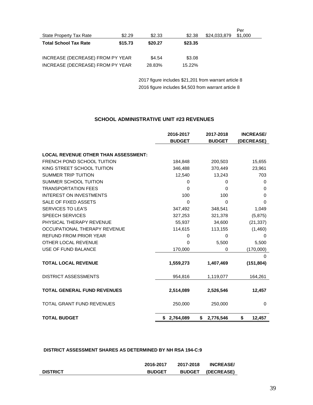| State Property Tax Rate          | \$2.29  | \$2.33  | \$2.38  | \$24,033,879 | Per<br>\$1,000 |
|----------------------------------|---------|---------|---------|--------------|----------------|
| <b>Total School Tax Rate</b>     | \$15.73 | \$20.27 | \$23.35 |              |                |
| INCREASE (DECREASE) FROM PY YEAR |         | \$4.54  | \$3.08  |              |                |
| INCREASE (DECREASE) FROM PY YEAR |         | 28.83%  | 15.22%  |              |                |

2017 figure includes \$21,201 from warrant article 8 2016 figure includes \$4,503 from warrant article 8

#### **SCHOOL ADMINISTRATIVE UNIT #23 REVENUES**

|                                             | 2016-2017<br><b>BUDGET</b> | 2017-2018<br><b>BUDGET</b> | <b>INCREASE/</b><br>(DECREASE) |
|---------------------------------------------|----------------------------|----------------------------|--------------------------------|
| <b>LOCAL REVENUE OTHER THAN ASSESSMENT:</b> |                            |                            |                                |
| FRENCH POND SCHOOL TUITION                  | 184,848                    | 200,503                    | 15,655                         |
| KING STREET SCHOOL TUITION                  | 346,488                    | 370,449                    | 23,961                         |
| <b>SUMMER TRIP TUITION</b>                  | 12,540                     | 13,243                     | 703                            |
| SUMMER SCHOOL TUITION                       | 0                          | 0                          | 0                              |
| <b>TRANSPORTATION FEES</b>                  | $\Omega$                   | 0                          | $\Omega$                       |
| <b>INTEREST ON INVESTMENTS</b>              | 100                        | 100                        | 0                              |
| SALE OF FIXED ASSETS                        | $\Omega$                   | 0                          | $\Omega$                       |
| <b>SERVICES TO LEA'S</b>                    | 347,492                    | 348,541                    | 1,049                          |
| <b>SPEECH SERVICES</b>                      | 327,253                    | 321,378                    | (5,875)                        |
| PHYSICAL THERAPY REVENUE                    | 55,937                     | 34,600                     | (21, 337)                      |
| OCCUPATIONAL THERAPY REVENUE                | 114,615                    | 113,155                    | (1,460)                        |
| <b>REFUND FROM PRIOR YEAR</b>               | 0                          | $\Omega$                   | 0                              |
| OTHER LOCAL REVENUE                         | 0                          | 5,500                      | 5,500                          |
| USE OF FUND BALANCE                         | 170,000                    | 0                          | (170,000)                      |
|                                             |                            |                            | 0                              |
| <b>TOTAL LOCAL REVENUE</b>                  | 1,559,273                  | 1,407,469                  | (151, 804)                     |
| <b>DISTRICT ASSESSMENTS</b>                 | 954,816                    | 1,119,077                  | 164,261                        |
| <b>TOTAL GENERAL FUND REVENUES</b>          | 2,514,089                  | 2,526,546                  | 12,457                         |
| <b>TOTAL GRANT FUND REVENUES</b>            | 250,000                    | 250,000                    | $\Omega$                       |
| <b>TOTAL BUDGET</b>                         | \$2,764,089                | \$<br>2,776,546            | \$<br>12,457                   |

#### **DISTRICT ASSESSMENT SHARES AS DETERMINED BY NH RSA 194-C:9**

|                 | 2016-2017     | 2017-2018     | <b>INCREASE</b> |
|-----------------|---------------|---------------|-----------------|
| <b>DISTRICT</b> | <b>BUDGET</b> | <b>BUDGET</b> | (DECREASE)      |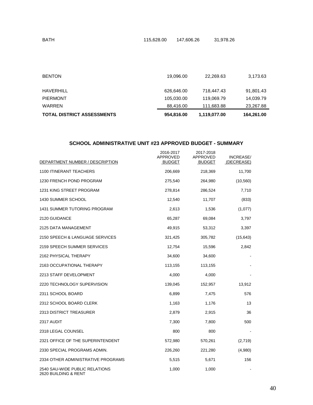| <b>TOTAL DISTRICT ASSESSMENTS</b> | 954,816.00 | 1,119,077.00 | 164,261.00 |
|-----------------------------------|------------|--------------|------------|
| WARREN                            | 88.416.00  | 111.683.88   | 23,267.88  |
| PIERMONT                          | 105,030.00 | 119,069.79   | 14,039.79  |
| HAVERHILL                         | 626,646.00 | 718,447.43   | 91,801.43  |
| <b>BENTON</b>                     | 19.096.00  | 22.269.63    | 3,173.63   |

#### **SCHOOL ADMINISTRATIVE UNIT #23 APPROVED BUDGET - SUMMARY**

| DEPARTMENT NUMBER / DESCRIPTION                        | 2016-2017<br>APPROVED<br><b>BUDGET</b> | 2017-2018<br>APPROVED<br><b>BUDGET</b> | <b>INCREASE/</b><br>(DECREASE) |
|--------------------------------------------------------|----------------------------------------|----------------------------------------|--------------------------------|
| 1100 ITINERANT TEACHERS                                | 206,669                                | 218,369                                | 11,700                         |
| 1230 FRENCH POND PROGRAM                               | 275,540                                | 264,980                                | (10, 560)                      |
| 1231 KING STREET PROGRAM                               | 278,814                                | 286,524                                | 7,710                          |
| 1430 SUMMER SCHOOL                                     | 12,540                                 | 11,707                                 | (833)                          |
| <b>1431 SUMMER TUTORING PROGRAM</b>                    | 2,613                                  | 1,536                                  | (1,077)                        |
| 2120 GUIDANCE                                          | 65,287                                 | 69,084                                 | 3,797                          |
| 2125 DATA MANAGEMENT                                   | 49,915                                 | 53,312                                 | 3,397                          |
| 2150 SPEECH & LANGUAGE SERVICES                        | 321,425                                | 305,782                                | (15, 643)                      |
| 2159 SPEECH SUMMER SERVICES                            | 12,754                                 | 15,596                                 | 2,842                          |
| 2162 PHYSICAL THERAPY                                  | 34,600                                 | 34,600                                 |                                |
| 2163 OCCUPATIONAL THERAPY                              | 113,155                                | 113,155                                |                                |
| 2213 STAFF DEVELOPMENT                                 | 4,000                                  | 4,000                                  |                                |
| 2220 TECHNOLOGY SUPERVISION                            | 139,045                                | 152,957                                | 13,912                         |
| 2311 SCHOOL BOARD                                      | 6,899                                  | 7,475                                  | 576                            |
| 2312 SCHOOL BOARD CLERK                                | 1,163                                  | 1,176                                  | 13                             |
| 2313 DISTRICT TREASURER                                | 2,879                                  | 2,915                                  | 36                             |
| 2317 AUDIT                                             | 7,300                                  | 7,800                                  | 500                            |
| 2318 LEGAL COUNSEL                                     | 800                                    | 800                                    |                                |
| 2321 OFFICE OF THE SUPERINTENDENT                      | 572,980                                | 570,261                                | (2,719)                        |
| 2330 SPECIAL PROGRAMS ADMIN.                           | 226,260                                | 221,280                                | (4,980)                        |
| 2334 OTHER ADMINISTRATIVE PROGRAMS                     | 5,515                                  | 5,671                                  | 156                            |
| 2540 SAU-WIDE PUBLIC RELATIONS<br>2620 BUILDING & RENT | 1,000                                  | 1,000                                  |                                |